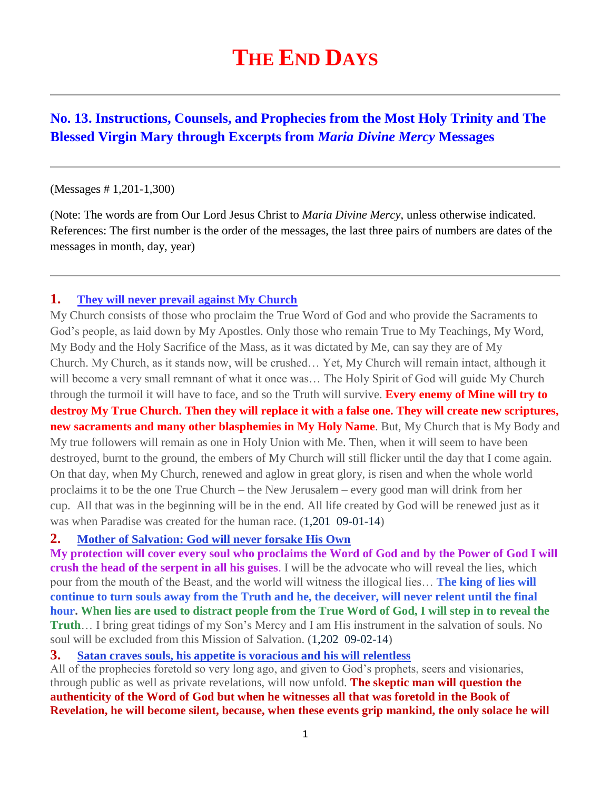# **THE END DAYS**

# **No. 13. Instructions, Counsels, and Prophecies from the Most Holy Trinity and The Blessed Virgin Mary through Excerpts from** *Maria Divine Mercy* **Messages**

#### (Messages # 1,201-1,300)

(Note: The words are from Our Lord Jesus Christ to *Maria Divine Mercy*, unless otherwise indicated. References: The first number is the order of the messages, the last three pairs of numbers are dates of the messages in month, day, year)

## **1. [They will never prevail against My Church](http://www.thewarningsecondcoming.com/they-will-never-prevail-against-my-church/)**

My Church consists of those who proclaim the True Word of God and who provide the Sacraments to God's people, as laid down by My Apostles. Only those who remain True to My Teachings, My Word, My Body and the Holy Sacrifice of the Mass, as it was dictated by Me, can say they are of My Church. My Church, as it stands now, will be crushed… Yet, My Church will remain intact, although it will become a very small remnant of what it once was... The Holy Spirit of God will guide My Church through the turmoil it will have to face, and so the Truth will survive. **Every enemy of Mine will try to destroy My True Church. Then they will replace it with a false one. They will create new scriptures, new sacraments and many other blasphemies in My Holy Name**. But, My Church that is My Body and My true followers will remain as one in Holy Union with Me. Then, when it will seem to have been destroyed, burnt to the ground, the embers of My Church will still flicker until the day that I come again. On that day, when My Church, renewed and aglow in great glory, is risen and when the whole world proclaims it to be the one True Church – the New Jerusalem – every good man will drink from her cup. All that was in the beginning will be in the end. All life created by God will be renewed just as it was when Paradise was created for the human race. (1,201 09-01-14)

#### **2. [Mother of Salvation: God will never forsake His Own](http://www.thewarningsecondcoming.com/mother-of-salvation-god-will-never-forsake-his-own/)**

**My protection will cover every soul who proclaims the Word of God and by the Power of God I will crush the head of the serpent in all his guises**. I will be the advocate who will reveal the lies, which pour from the mouth of the Beast, and the world will witness the illogical lies… **The king of lies will continue to turn souls away from the Truth and he, the deceiver, will never relent until the final hour. When lies are used to distract people from the True Word of God, I will step in to reveal the Truth**… I bring great tidings of my Son's Mercy and I am His instrument in the salvation of souls. No soul will be excluded from this Mission of Salvation. (1,202 09-02-14)

## **3. [Satan craves souls, his appetite is voracious and his will relentless](http://www.thewarningsecondcoming.com/satan-craves-souls-his-appetite-is-voracious-and-his-will-relentless/)**

All of the prophecies foretold so very long ago, and given to God's prophets, seers and visionaries, through public as well as private revelations, will now unfold. **The skeptic man will question the authenticity of the Word of God but when he witnesses all that was foretold in the Book of Revelation, he will become silent, because, when these events grip mankind, the only solace he will**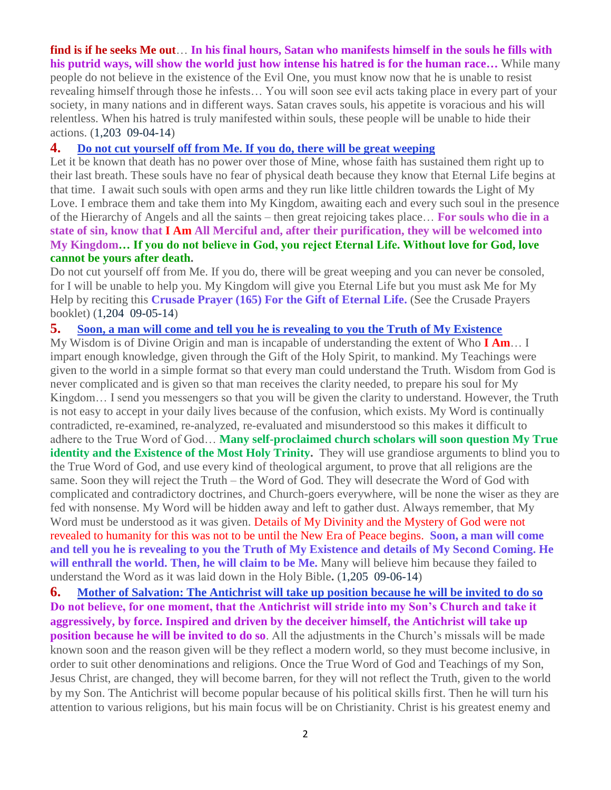#### **find is if he seeks Me out**… **In his final hours, Satan who manifests himself in the souls he fills with his putrid ways, will show the world just how intense his hatred is for the human race…** While many

people do not believe in the existence of the Evil One, you must know now that he is unable to resist revealing himself through those he infests… You will soon see evil acts taking place in every part of your society, in many nations and in different ways. Satan craves souls, his appetite is voracious and his will relentless. When his hatred is truly manifested within souls, these people will be unable to hide their actions. (1,203 09-04-14)

#### **4. [Do not cut yourself off from Me. If you do, there will be great weeping](http://www.thewarningsecondcoming.com/do-not-cut-yourself-off-from-me-if-you-do-there-will-be-great-weeping/)**

Let it be known that death has no power over those of Mine, whose faith has sustained them right up to their last breath. These souls have no fear of physical death because they know that Eternal Life begins at that time. I await such souls with open arms and they run like little children towards the Light of My Love. I embrace them and take them into My Kingdom, awaiting each and every such soul in the presence of the Hierarchy of Angels and all the saints – then great rejoicing takes place… **For souls who die in a state of sin, know that I Am All Merciful and, after their purification, they will be welcomed into My Kingdom… If you do not believe in God, you reject Eternal Life. Without love for God, love cannot be yours after death.**

Do not cut yourself off from Me. If you do, there will be great weeping and you can never be consoled, for I will be unable to help you. My Kingdom will give you Eternal Life but you must ask Me for My Help by reciting this **Crusade Prayer (165) For the Gift of Eternal Life.** (See the Crusade Prayers booklet) (1,204 09-05-14)

## **5. [Soon, a man will come and tell you he is revealing to you the Truth of My Existence](http://www.thewarningsecondcoming.com/soon-a-man-will-come-and-tell-you-he-is-revealing-to-you-the-truth-of-my-existence/)**

My Wisdom is of Divine Origin and man is incapable of understanding the extent of Who **I Am**… I impart enough knowledge, given through the Gift of the Holy Spirit, to mankind. My Teachings were given to the world in a simple format so that every man could understand the Truth. Wisdom from God is never complicated and is given so that man receives the clarity needed, to prepare his soul for My Kingdom… I send you messengers so that you will be given the clarity to understand. However, the Truth is not easy to accept in your daily lives because of the confusion, which exists. My Word is continually contradicted, re-examined, re-analyzed, re-evaluated and misunderstood so this makes it difficult to adhere to the True Word of God… **Many self-proclaimed church scholars will soon question My True**  identity and the Existence of the Most Holy Trinity. They will use grandiose arguments to blind you to the True Word of God, and use every kind of theological argument, to prove that all religions are the same. Soon they will reject the Truth – the Word of God. They will desecrate the Word of God with complicated and contradictory doctrines, and Church-goers everywhere, will be none the wiser as they are fed with nonsense. My Word will be hidden away and left to gather dust. Always remember, that My Word must be understood as it was given. Details of My Divinity and the Mystery of God were not revealed to humanity for this was not to be until the New Era of Peace begins. **Soon, a man will come and tell you he is revealing to you the Truth of My Existence and details of My Second Coming. He will enthrall the world. Then, he will claim to be Me.** Many will believe him because they failed to understand the Word as it was laid down in the Holy Bible**.** (1,205 09-06-14)

**6. [Mother of Salvation: The Antichrist will take up position because he will be invited to do so](http://www.thewarningsecondcoming.com/the-antichrist-will-take-up-position-because-he-will-be-invited-to-do-so/) Do not believe, for one moment, that the Antichrist will stride into my Son's Church and take it aggressively, by force. Inspired and driven by the deceiver himself, the Antichrist will take up position because he will be invited to do so**. All the adjustments in the Church's missals will be made known soon and the reason given will be they reflect a modern world, so they must become inclusive, in order to suit other denominations and religions. Once the True Word of God and Teachings of my Son, Jesus Christ, are changed, they will become barren, for they will not reflect the Truth, given to the world by my Son. The Antichrist will become popular because of his political skills first. Then he will turn his attention to various religions, but his main focus will be on Christianity. Christ is his greatest enemy and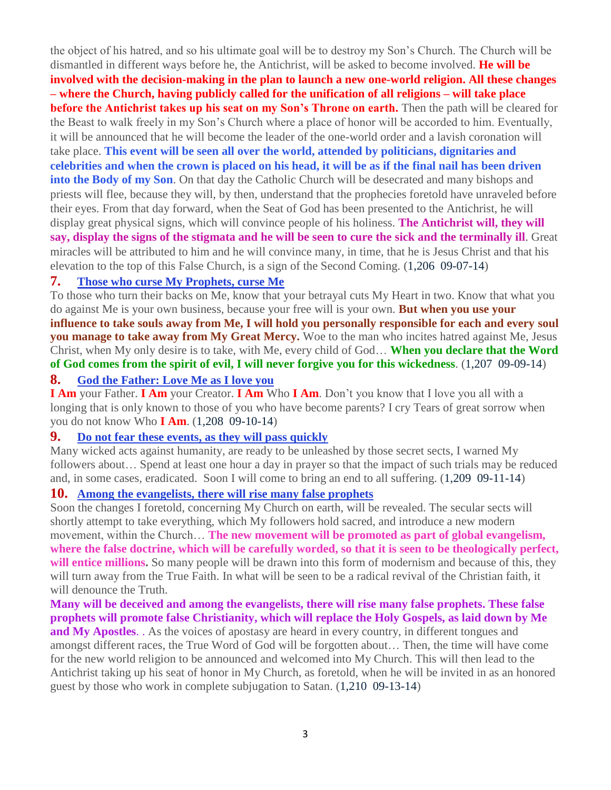the object of his hatred, and so his ultimate goal will be to destroy my Son's Church. The Church will be dismantled in different ways before he, the Antichrist, will be asked to become involved. **He will be involved with the decision-making in the plan to launch a new one-world religion. All these changes – where the Church, having publicly called for the unification of all religions – will take place before the Antichrist takes up his seat on my Son's Throne on earth.** Then the path will be cleared for the Beast to walk freely in my Son's Church where a place of honor will be accorded to him. Eventually, it will be announced that he will become the leader of the one-world order and a lavish coronation will take place. **This event will be seen all over the world, attended by politicians, dignitaries and celebrities and when the crown is placed on his head, it will be as if the final nail has been driven into the Body of my Son**. On that day the Catholic Church will be desecrated and many bishops and priests will flee, because they will, by then, understand that the prophecies foretold have unraveled before their eyes. From that day forward, when the Seat of God has been presented to the Antichrist, he will display great physical signs, which will convince people of his holiness. **The Antichrist will, they will say, display the signs of the stigmata and he will be seen to cure the sick and the terminally ill**. Great miracles will be attributed to him and he will convince many, in time, that he is Jesus Christ and that his elevation to the top of this False Church, is a sign of the Second Coming. (1,206 09-07-14)

## **7. [Those who curse My Prophets, curse Me](http://www.thewarningsecondcoming.com/those-who-curse-my-prophets-curse-me/)**

To those who turn their backs on Me, know that your betrayal cuts My Heart in two. Know that what you do against Me is your own business, because your free will is your own. **But when you use your influence to take souls away from Me, I will hold you personally responsible for each and every soul you manage to take away from My Great Mercy.** Woe to the man who incites hatred against Me, Jesus Christ, when My only desire is to take, with Me, every child of God… **When you declare that the Word of God comes from the spirit of evil, I will never forgive you for this wickedness**. (1,207 09-09-14)

## **8. [God the Father: Love Me as I love you](http://www.thewarningsecondcoming.com/god-the-father-love-me-as-i-love-you/)**

**I Am** your Father. **I Am** your Creator. **I Am** Who **I Am**. Don't you know that I love you all with a longing that is only known to those of you who have become parents? I cry Tears of great sorrow when you do not know Who **I Am**. (1,208 09-10-14)

#### **9. [Do not fear these events, as they will pass quickly](http://www.thewarningsecondcoming.com/do-not-fear-these-events-as-they-will-pass-quickly/)**

Many wicked acts against humanity, are ready to be unleashed by those secret sects, I warned My followers about... Spend at least one hour a day in prayer so that the impact of such trials may be reduced and, in some cases, eradicated. Soon I will come to bring an end to all suffering. (1,209 09-11-14)

#### **10. [Among the evangelists, there will rise many false prophets](http://www.thewarningsecondcoming.com/among-the-evangelists-there-will-rise-many-false-prophets/)**

Soon the changes I foretold, concerning My Church on earth, will be revealed. The secular sects will shortly attempt to take everything, which My followers hold sacred, and introduce a new modern movement, within the Church… **The new movement will be promoted as part of global evangelism, where the false doctrine, which will be carefully worded, so that it is seen to be theologically perfect,**  will entice millions. So many people will be drawn into this form of modernism and because of this, they will turn away from the True Faith. In what will be seen to be a radical revival of the Christian faith, it will denounce the Truth.

**Many will be deceived and among the evangelists, there will rise many false prophets. These false prophets will promote false Christianity, which will replace the Holy Gospels, as laid down by Me and My Apostles**. . As the voices of apostasy are heard in every country, in different tongues and amongst different races, the True Word of God will be forgotten about… Then, the time will have come for the new world religion to be announced and welcomed into My Church. This will then lead to the Antichrist taking up his seat of honor in My Church, as foretold, when he will be invited in as an honored guest by those who work in complete subjugation to Satan. (1,210 09-13-14)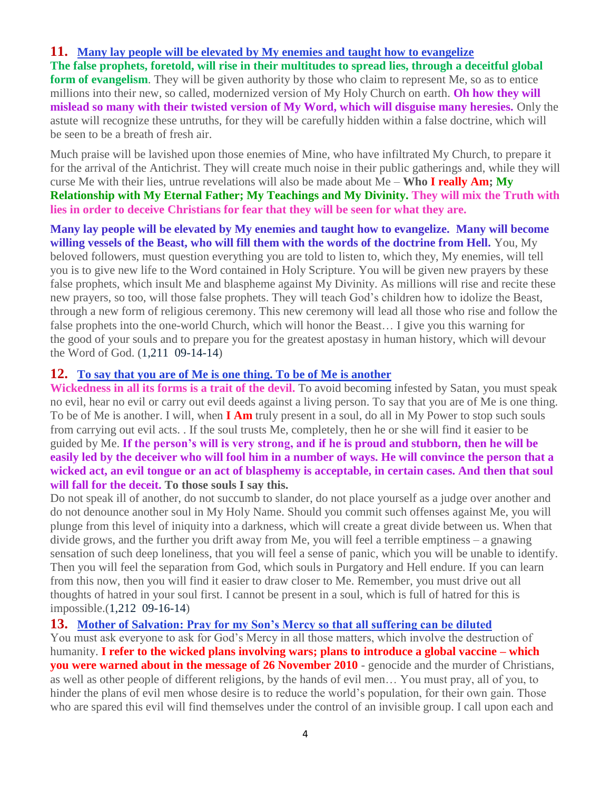## **11. [Many lay people will be elevated by My enemies and taught how to evangelize](http://www.thewarningsecondcoming.com/many-lay-people-will-be-elevated-by-my-enemies-and-taught-how-to-evangelise/)**

**The false prophets, foretold, will rise in their multitudes to spread lies, through a deceitful global form of evangelism**. They will be given authority by those who claim to represent Me, so as to entice millions into their new, so called, modernized version of My Holy Church on earth. **Oh how they will mislead so many with their twisted version of My Word, which will disguise many heresies.** Only the astute will recognize these untruths, for they will be carefully hidden within a false doctrine, which will be seen to be a breath of fresh air.

Much praise will be lavished upon those enemies of Mine, who have infiltrated My Church, to prepare it for the arrival of the Antichrist. They will create much noise in their public gatherings and, while they will curse Me with their lies, untrue revelations will also be made about Me – **Who I really Am; My Relationship with My Eternal Father; My Teachings and My Divinity. They will mix the Truth with lies in order to deceive Christians for fear that they will be seen for what they are.**

**Many lay people will be elevated by My enemies and taught how to evangelize. Many will become willing vessels of the Beast, who will fill them with the words of the doctrine from Hell.** You, My beloved followers, must question everything you are told to listen to, which they, My enemies, will tell you is to give new life to the Word contained in Holy Scripture. You will be given new prayers by these false prophets, which insult Me and blaspheme against My Divinity. As millions will rise and recite these new prayers, so too, will those false prophets. They will teach God's children how to idolize the Beast, through a new form of religious ceremony. This new ceremony will lead all those who rise and follow the false prophets into the one-world Church, which will honor the Beast… I give you this warning for the good of your souls and to prepare you for the greatest apostasy in human history, which will devour the Word of God. (1,211 09-14-14)

## **12. [To say that you are of Me is one thing. To be of Me](http://www.thewarningsecondcoming.com/to-say-that-you-are-of-me-is-one-thing-to-be-of-me-is-another/) is another**

**Wickedness in all its forms is a trait of the devil.** To avoid becoming infested by Satan, you must speak no evil, hear no evil or carry out evil deeds against a living person. To say that you are of Me is one thing. To be of Me is another. I will, when **I Am** truly present in a soul, do all in My Power to stop such souls from carrying out evil acts. . If the soul trusts Me, completely, then he or she will find it easier to be guided by Me. **If the person's will is very strong, and if he is proud and stubborn, then he will be easily led by the deceiver who will fool him in a number of ways. He will convince the person that a wicked act, an evil tongue or an act of blasphemy is acceptable, in certain cases. And then that soul will fall for the deceit. To those souls I say this.**

Do not speak ill of another, do not succumb to slander, do not place yourself as a judge over another and do not denounce another soul in My Holy Name. Should you commit such offenses against Me, you will plunge from this level of iniquity into a darkness, which will create a great divide between us. When that divide grows, and the further you drift away from Me, you will feel a terrible emptiness – a gnawing sensation of such deep loneliness, that you will feel a sense of panic, which you will be unable to identify. Then you will feel the separation from God, which souls in Purgatory and Hell endure. If you can learn from this now, then you will find it easier to draw closer to Me. Remember, you must drive out all thoughts of hatred in your soul first. I cannot be present in a soul, which is full of hatred for this is impossible.(1,212 09-16-14)

#### **13. [Mother of Salvation: Pray for my Son's Mercy so that all suffering can be diluted](http://www.thewarningsecondcoming.com/mother-of-salvation-pray-for-my-sons-mercy-so-that-all-suffering-can-be-diluted/)**

You must ask everyone to ask for God's Mercy in all those matters, which involve the destruction of humanity. **I refer to the wicked plans involving wars; plans to introduce a global vaccine – which you were warned about in the message of 26 November 2010** - genocide and the murder of Christians, as well as other people of different religions, by the hands of evil men… You must pray, all of you, to hinder the plans of evil men whose desire is to reduce the world's population, for their own gain. Those who are spared this evil will find themselves under the control of an invisible group. I call upon each and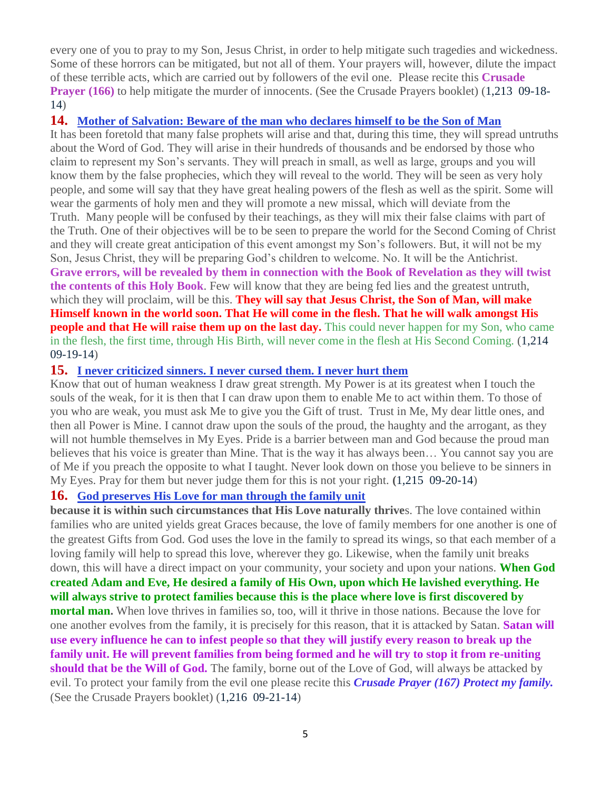every one of you to pray to my Son, Jesus Christ, in order to help mitigate such tragedies and wickedness. Some of these horrors can be mitigated, but not all of them. Your prayers will, however, dilute the impact of these terrible acts, which are carried out by followers of the evil one. Please recite this **Crusade Prayer (166)** to help mitigate the murder of innocents. (See the Crusade Prayers booklet) (1,213 09-18-14)

#### **14. [Mother of Salvation: Beware of the man who declares himself to be the Son of Man](http://www.thewarningsecondcoming.com/mother-of-salvation-beware-of-the-man-who-declares-himself-to-be-the-son-of-man/)**

It has been foretold that many false prophets will arise and that, during this time, they will spread untruths about the Word of God. They will arise in their hundreds of thousands and be endorsed by those who claim to represent my Son's servants. They will preach in small, as well as large, groups and you will know them by the false prophecies, which they will reveal to the world. They will be seen as very holy people, and some will say that they have great healing powers of the flesh as well as the spirit. Some will wear the garments of holy men and they will promote a new missal, which will deviate from the Truth. Many people will be confused by their teachings, as they will mix their false claims with part of the Truth. One of their objectives will be to be seen to prepare the world for the Second Coming of Christ and they will create great anticipation of this event amongst my Son's followers. But, it will not be my Son, Jesus Christ, they will be preparing God's children to welcome. No. It will be the Antichrist. **Grave errors, will be revealed by them in connection with the Book of Revelation as they will twist the contents of this Holy Book**. Few will know that they are being fed lies and the greatest untruth, which they will proclaim, will be this. **They will say that Jesus Christ, the Son of Man, will make Himself known in the world soon. That He will come in the flesh. That he will walk amongst His people and that He will raise them up on the last day.** This could never happen for my Son, who came in the flesh, the first time, through His Birth, will never come in the flesh at His Second Coming. (1,214 09-19-14)

#### **15. [I never criticized sinners. I never cursed them. I never hurt them](http://www.thewarningsecondcoming.com/i-never-criticized-sinners-i-never-cursed-them-i-never-hurt-them/)**

Know that out of human weakness I draw great strength. My Power is at its greatest when I touch the souls of the weak, for it is then that I can draw upon them to enable Me to act within them. To those of you who are weak, you must ask Me to give you the Gift of trust. Trust in Me, My dear little ones, and then all Power is Mine. I cannot draw upon the souls of the proud, the haughty and the arrogant, as they will not humble themselves in My Eyes. Pride is a barrier between man and God because the proud man believes that his voice is greater than Mine. That is the way it has always been… You cannot say you are of Me if you preach the opposite to what I taught. Never look down on those you believe to be sinners in My Eyes. Pray for them but never judge them for this is not your right. **(**1,215 09-20-14)

#### **16. [God preserves His Love for man through the family unit](http://www.thewarningsecondcoming.com/god-preserves-his-love-for-man-through-the-family-unit/)**

**because it is within such circumstances that His Love naturally thrive**s. The love contained within families who are united yields great Graces because, the love of family members for one another is one of the greatest Gifts from God. God uses the love in the family to spread its wings, so that each member of a loving family will help to spread this love, wherever they go. Likewise, when the family unit breaks down, this will have a direct impact on your community, your society and upon your nations. **When God created Adam and Eve, He desired a family of His Own, upon which He lavished everything. He will always strive to protect families because this is the place where love is first discovered by mortal man.** When love thrives in families so, too, will it thrive in those nations. Because the love for one another evolves from the family, it is precisely for this reason, that it is attacked by Satan. **Satan will use every influence he can to infest people so that they will justify every reason to break up the family unit. He will prevent families from being formed and he will try to stop it from re-uniting should that be the Will of God.** The family, borne out of the Love of God, will always be attacked by evil. To protect your family from the evil one please recite this *Crusade Prayer (167) Protect my family.*  (See the Crusade Prayers booklet) (1,216 09-21-14)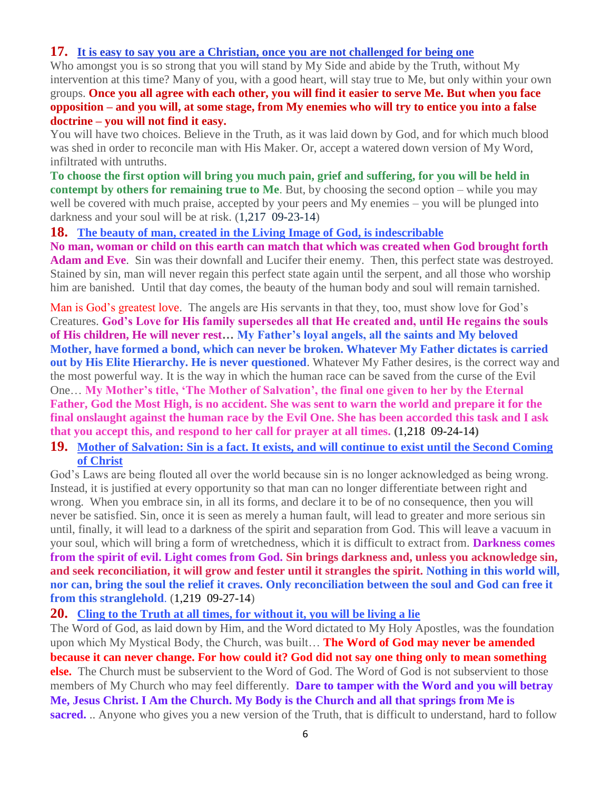## **17. [It is easy to say you are a Christian, once you are not challenged for being one](http://www.thewarningsecondcoming.com/it-is-easy-to-say-you-are-a-christian-once-you-are-not-challenged-for-being-one/)**

Who amongst you is so strong that you will stand by My Side and abide by the Truth, without My intervention at this time? Many of you, with a good heart, will stay true to Me, but only within your own groups. **Once you all agree with each other, you will find it easier to serve Me. But when you face opposition – and you will, at some stage, from My enemies who will try to entice you into a false doctrine – you will not find it easy.**

You will have two choices. Believe in the Truth, as it was laid down by God, and for which much blood was shed in order to reconcile man with His Maker. Or, accept a watered down version of My Word, infiltrated with untruths.

**To choose the first option will bring you much pain, grief and suffering, for you will be held in contempt by others for remaining true to Me**. But, by choosing the second option – while you may well be covered with much praise, accepted by your peers and My enemies – you will be plunged into darkness and your soul will be at risk. (1,217 09-23-14)

**18. [The beauty of man, created in the Living Image of God, is indescribable](http://www.thewarningsecondcoming.com/the-beauty-of-man-created-in-the-living-image-of-god-is-indescribable/)**

**No man, woman or child on this earth can match that which was created when God brought forth Adam and Eve**. Sin was their downfall and Lucifer their enemy. Then, this perfect state was destroyed. Stained by sin, man will never regain this perfect state again until the serpent, and all those who worship him are banished. Until that day comes, the beauty of the human body and soul will remain tarnished.

Man is God's greatest love. The angels are His servants in that they, too, must show love for God's Creatures. **God's Love for His family supersedes all that He created and, until He regains the souls of His children, He will never rest… My Father's loyal angels, all the saints and My beloved Mother, have formed a bond, which can never be broken. Whatever My Father dictates is carried out by His Elite Hierarchy. He is never questioned**. Whatever My Father desires, is the correct way and the most powerful way. It is the way in which the human race can be saved from the curse of the Evil One… **My Mother's title, 'The Mother of Salvation', the final one given to her by the Eternal Father, God the Most High, is no accident. She was sent to warn the world and prepare it for the final onslaught against the human race by the Evil One. She has been accorded this task and I ask that you accept this, and respond to her call for prayer at all times. (**1,218 09-24-14**)**

## **19. [Mother of Salvation: Sin is a fact. It exists, and will continue to exist until the Second Coming](http://www.thewarningsecondcoming.com/mother-of-salvation-sin-is-a-fact-it-exists-and-will-continue-to-exist-until-the-second-coming-of-christ/)  [of Christ](http://www.thewarningsecondcoming.com/mother-of-salvation-sin-is-a-fact-it-exists-and-will-continue-to-exist-until-the-second-coming-of-christ/)**

God's Laws are being flouted all over the world because sin is no longer acknowledged as being wrong. Instead, it is justified at every opportunity so that man can no longer differentiate between right and wrong. When you embrace sin, in all its forms, and declare it to be of no consequence, then you will never be satisfied. Sin, once it is seen as merely a human fault, will lead to greater and more serious sin until, finally, it will lead to a darkness of the spirit and separation from God. This will leave a vacuum in your soul, which will bring a form of wretchedness, which it is difficult to extract from. **Darkness comes from the spirit of evil. Light comes from God. Sin brings darkness and, unless you acknowledge sin, and seek reconciliation, it will grow and fester until it strangles the spirit. Nothing in this world will, nor can, bring the soul the relief it craves. Only reconciliation between the soul and God can free it from this stranglehold**. (1,219 09-27-14)

**20. [Cling to the Truth at all times, for without it, you will be living a lie](http://www.thewarningsecondcoming.com/cling-to-the-truth-at-all-times-for-without-it-you-will-be-living-a-lie/)**

The Word of God, as laid down by Him, and the Word dictated to My Holy Apostles, was the foundation upon which My Mystical Body, the Church, was built… **The Word of God may never be amended because it can never change. For how could it? God did not say one thing only to mean something else.** The Church must be subservient to the Word of God. The Word of God is not subservient to those members of My Church who may feel differently. **Dare to tamper with the Word and you will betray Me, Jesus Christ. I Am the Church. My Body is the Church and all that springs from Me is sacred.** .. Anyone who gives you a new version of the Truth, that is difficult to understand, hard to follow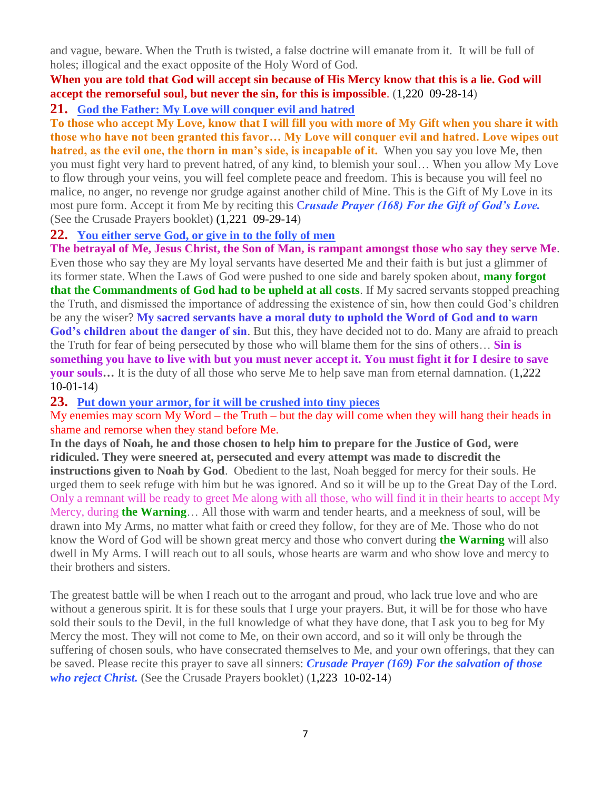and vague, beware. When the Truth is twisted, a false doctrine will emanate from it. It will be full of holes; illogical and the exact opposite of the Holy Word of God.

## **When you are told that God will accept sin because of His Mercy know that this is a lie. God will accept the remorseful soul, but never the sin, for this is impossible**. (1,220 09-28-14)

**21. [God the Father: My Love will conquer evil and hatred](http://www.thewarningsecondcoming.com/god-the-father-my-love-will-conquer-evil-and-hatred/)**

**To those who accept My Love, know that I will fill you with more of My Gift when you share it with those who have not been granted this favor… My Love will conquer evil and hatred. Love wipes out hatred, as the evil one, the thorn in man's side, is incapable of it.** When you say you love Me, then you must fight very hard to prevent hatred, of any kind, to blemish your soul… When you allow My Love to flow through your veins, you will feel complete peace and freedom. This is because you will feel no malice, no anger, no revenge nor grudge against another child of Mine. This is the Gift of My Love in its most pure form. Accept it from Me by reciting this C*rusade Prayer (168) For the Gift of God's Love.*  (See the Crusade Prayers booklet) (1,221 09-29-14)

## **22. [You either serve God, or give in to the folly of men](http://www.thewarningsecondcoming.com/you-either-serve-god-or-give-in-to-the-folly-of-men/)**

**The betrayal of Me, Jesus Christ, the Son of Man, is rampant amongst those who say they serve Me**. Even those who say they are My loyal servants have deserted Me and their faith is but just a glimmer of its former state. When the Laws of God were pushed to one side and barely spoken about, **many forgot that the Commandments of God had to be upheld at all costs**. If My sacred servants stopped preaching the Truth, and dismissed the importance of addressing the existence of sin, how then could God's children be any the wiser? **My sacred servants have a moral duty to uphold the Word of God and to warn God's children about the danger of sin**. But this, they have decided not to do. Many are afraid to preach the Truth for fear of being persecuted by those who will blame them for the sins of others… **Sin is something you have to live with but you must never accept it. You must fight it for I desire to save your souls…** It is the duty of all those who serve Me to help save man from eternal damnation. (1,222 10-01-14)

#### **23. [Put down your armor, for it will be crushed into tiny pieces](http://www.thewarningsecondcoming.com/put-down-your-armour-for-it-will-be-crushed-into-tiny-pieces/)**

My enemies may scorn My Word – the Truth – but the day will come when they will hang their heads in shame and remorse when they stand before Me.

**In the days of Noah, he and those chosen to help him to prepare for the Justice of God, were ridiculed. They were sneered at, persecuted and every attempt was made to discredit the instructions given to Noah by God**. Obedient to the last, Noah begged for mercy for their souls. He urged them to seek refuge with him but he was ignored. And so it will be up to the Great Day of the Lord. Only a remnant will be ready to greet Me along with all those, who will find it in their hearts to accept My Mercy, during **the Warning**… All those with warm and tender hearts, and a meekness of soul, will be drawn into My Arms, no matter what faith or creed they follow, for they are of Me. Those who do not know the Word of God will be shown great mercy and those who convert during **the Warning** will also dwell in My Arms. I will reach out to all souls, whose hearts are warm and who show love and mercy to their brothers and sisters.

The greatest battle will be when I reach out to the arrogant and proud, who lack true love and who are without a generous spirit. It is for these souls that I urge your prayers. But, it will be for those who have sold their souls to the Devil, in the full knowledge of what they have done, that I ask you to beg for My Mercy the most. They will not come to Me, on their own accord, and so it will only be through the suffering of chosen souls, who have consecrated themselves to Me, and your own offerings, that they can be saved. Please recite this prayer to save all sinners: *Crusade Prayer (169) For the salvation of those who reject Christ.* (See the Crusade Prayers booklet) (1,223 10-02-14)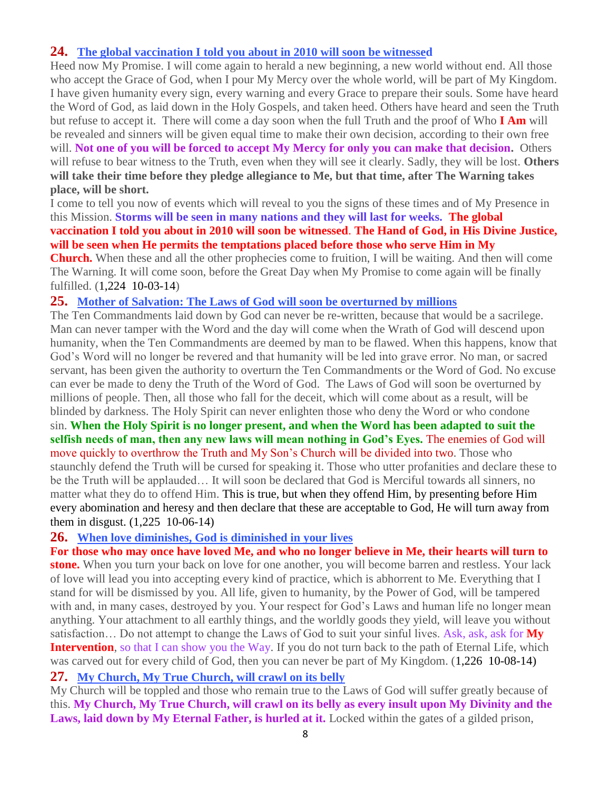## **24. [The global vaccination I told you about in 2010 will soon be witnessed](http://www.thewarningsecondcoming.com/the-global-vaccination-i-told-you-about-in-2010-will-soon-be-witnessed/)**

Heed now My Promise. I will come again to herald a new beginning, a new world without end. All those who accept the Grace of God, when I pour My Mercy over the whole world, will be part of My Kingdom. I have given humanity every sign, every warning and every Grace to prepare their souls. Some have heard the Word of God, as laid down in the Holy Gospels, and taken heed. Others have heard and seen the Truth but refuse to accept it. There will come a day soon when the full Truth and the proof of Who **I Am** will be revealed and sinners will be given equal time to make their own decision, according to their own free will. **Not one of you will be forced to accept My Mercy for only you can make that decision.** Others will refuse to bear witness to the Truth, even when they will see it clearly. Sadly, they will be lost. **Others will take their time before they pledge allegiance to Me, but that time, after The Warning takes place, will be short.**

I come to tell you now of events which will reveal to you the signs of these times and of My Presence in this Mission. **Storms will be seen in many nations and they will last for weeks. The global vaccination I told you about in 2010 will soon be witnessed**. **The Hand of God, in His Divine Justice, will be seen when He permits the temptations placed before those who serve Him in My** 

**Church.** When these and all the other prophecies come to fruition, I will be waiting. And then will come The Warning. It will come soon, before the Great Day when My Promise to come again will be finally fulfilled. (1,224 10-03-14)

## **25. [Mother of Salvation: The Laws of God will soon be overturned by millions](http://www.thewarningsecondcoming.com/mother-of-salvation-the-laws-of-god-will-soon-be-overturned-by-millions/)**

The Ten Commandments laid down by God can never be re-written, because that would be a sacrilege. Man can never tamper with the Word and the day will come when the Wrath of God will descend upon humanity, when the Ten Commandments are deemed by man to be flawed. When this happens, know that God's Word will no longer be revered and that humanity will be led into grave error. No man, or sacred servant, has been given the authority to overturn the Ten Commandments or the Word of God. No excuse can ever be made to deny the Truth of the Word of God. The Laws of God will soon be overturned by millions of people. Then, all those who fall for the deceit, which will come about as a result, will be blinded by darkness. The Holy Spirit can never enlighten those who deny the Word or who condone sin. **When the Holy Spirit is no longer present, and when the Word has been adapted to suit the** 

**selfish needs of man, then any new laws will mean nothing in God's Eyes.** The enemies of God will move quickly to overthrow the Truth and My Son's Church will be divided into two. Those who staunchly defend the Truth will be cursed for speaking it. Those who utter profanities and declare these to be the Truth will be applauded… It will soon be declared that God is Merciful towards all sinners, no matter what they do to offend Him. This is true, but when they offend Him, by presenting before Him every abomination and heresy and then declare that these are acceptable to God, He will turn away from them in disgust. (1,225 10-06-14)

## **26. [When love diminishes, God is diminished in your lives](http://www.thewarningsecondcoming.com/when-love-diminishes-god-is-diminished-in-your-lives/)**

**For those who may once have loved Me, and who no longer believe in Me, their hearts will turn to stone.** When you turn your back on love for one another, you will become barren and restless. Your lack of love will lead you into accepting every kind of practice, which is abhorrent to Me. Everything that I stand for will be dismissed by you. All life, given to humanity, by the Power of God, will be tampered with and, in many cases, destroyed by you. Your respect for God's Laws and human life no longer mean anything. Your attachment to all earthly things, and the worldly goods they yield, will leave you without satisfaction… Do not attempt to change the Laws of God to suit your sinful lives. Ask, ask, ask for **My Intervention**, so that I can show you the Way. If you do not turn back to the path of Eternal Life, which was carved out for every child of God, then you can never be part of My Kingdom. (1,226 10-08-14)

## **27. [My Church, My True Church, will crawl on its belly](http://www.thewarningsecondcoming.com/my-church-my-true-church-will-crawl-on-its-belly/)**

My Church will be toppled and those who remain true to the Laws of God will suffer greatly because of this. **My Church, My True Church, will crawl on its belly as every insult upon My Divinity and the**  Laws, laid down by My Eternal Father, is hurled at it. Locked within the gates of a gilded prison,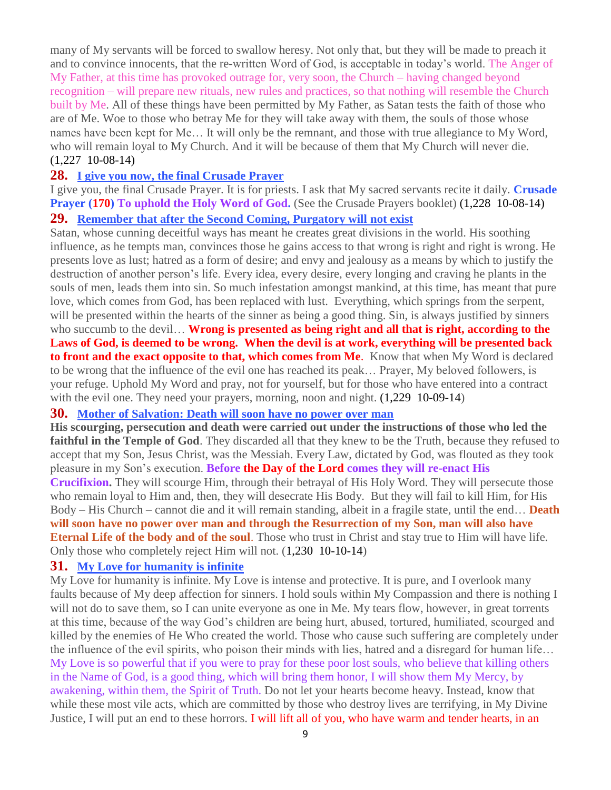many of My servants will be forced to swallow heresy. Not only that, but they will be made to preach it and to convince innocents, that the re-written Word of God, is acceptable in today's world. The Anger of My Father, at this time has provoked outrage for, very soon, the Church – having changed beyond recognition – will prepare new rituals, new rules and practices, so that nothing will resemble the Church built by Me. All of these things have been permitted by My Father, as Satan tests the faith of those who are of Me. Woe to those who betray Me for they will take away with them, the souls of those whose names have been kept for Me… It will only be the remnant, and those with true allegiance to My Word, who will remain loyal to My Church. And it will be because of them that My Church will never die. (1,227 10-08-14)

#### **28. [I give you now, the final Crusade Prayer](http://www.thewarningsecondcoming.com/i-give-you-now-the-final-crusade-prayer/)**

I give you, the final Crusade Prayer. It is for priests. I ask that My sacred servants recite it daily. **Crusade Prayer (170) To uphold the Holy Word of God.** (See the Crusade Prayers booklet) (1,228 10-08-14)

#### **29. [Remember that after the Second Coming, Purgatory will](http://www.thewarningsecondcoming.com/remember-that-after-the-second-coming-purgatory-will-not-exist/) not exist**

Satan, whose cunning deceitful ways has meant he creates great divisions in the world. His soothing influence, as he tempts man, convinces those he gains access to that wrong is right and right is wrong. He presents love as lust; hatred as a form of desire; and envy and jealousy as a means by which to justify the destruction of another person's life. Every idea, every desire, every longing and craving he plants in the souls of men, leads them into sin. So much infestation amongst mankind, at this time, has meant that pure love, which comes from God, has been replaced with lust. Everything, which springs from the serpent, will be presented within the hearts of the sinner as being a good thing. Sin, is always justified by sinners who succumb to the devil... **Wrong is presented as being right and all that is right, according to the Laws of God, is deemed to be wrong. When the devil is at work, everything will be presented back to front and the exact opposite to that, which comes from Me**. Know that when My Word is declared to be wrong that the influence of the evil one has reached its peak… Prayer, My beloved followers, is your refuge. Uphold My Word and pray, not for yourself, but for those who have entered into a contract with the evil one. They need your prayers, morning, noon and night.  $(1,229 \ 10-09-14)$ 

#### **30. [Mother of Salvation: Death will soon have no power over man](http://www.thewarningsecondcoming.com/mother-of-salvation-death-will-soon-have-no-power-over-man/)**

**His scourging, persecution and death were carried out under the instructions of those who led the faithful in the Temple of God**. They discarded all that they knew to be the Truth, because they refused to accept that my Son, Jesus Christ, was the Messiah. Every Law, dictated by God, was flouted as they took pleasure in my Son's execution. **Before the Day of the Lord comes they will re-enact His Crucifixion.** They will scourge Him, through their betrayal of His Holy Word. They will persecute those who remain loyal to Him and, then, they will desecrate His Body. But they will fail to kill Him, for His Body – His Church – cannot die and it will remain standing, albeit in a fragile state, until the end… **Death will soon have no power over man and through the Resurrection of my Son, man will also have Eternal Life of the body and of the soul**. Those who trust in Christ and stay true to Him will have life. Only those who completely reject Him will not. (1,230 10-10-14)

#### **31. [My Love for humanity is infinite](http://www.thewarningsecondcoming.com/my-love-for-humanity-is-infinite/)**

My Love for humanity is infinite. My Love is intense and protective. It is pure, and I overlook many faults because of My deep affection for sinners. I hold souls within My Compassion and there is nothing I will not do to save them, so I can unite everyone as one in Me. My tears flow, however, in great torrents at this time, because of the way God's children are being hurt, abused, tortured, humiliated, scourged and killed by the enemies of He Who created the world. Those who cause such suffering are completely under the influence of the evil spirits, who poison their minds with lies, hatred and a disregard for human life… My Love is so powerful that if you were to pray for these poor lost souls, who believe that killing others in the Name of God, is a good thing, which will bring them honor, I will show them My Mercy, by awakening, within them, the Spirit of Truth. Do not let your hearts become heavy. Instead, know that while these most vile acts, which are committed by those who destroy lives are terrifying, in My Divine Justice, I will put an end to these horrors. I will lift all of you, who have warm and tender hearts, in an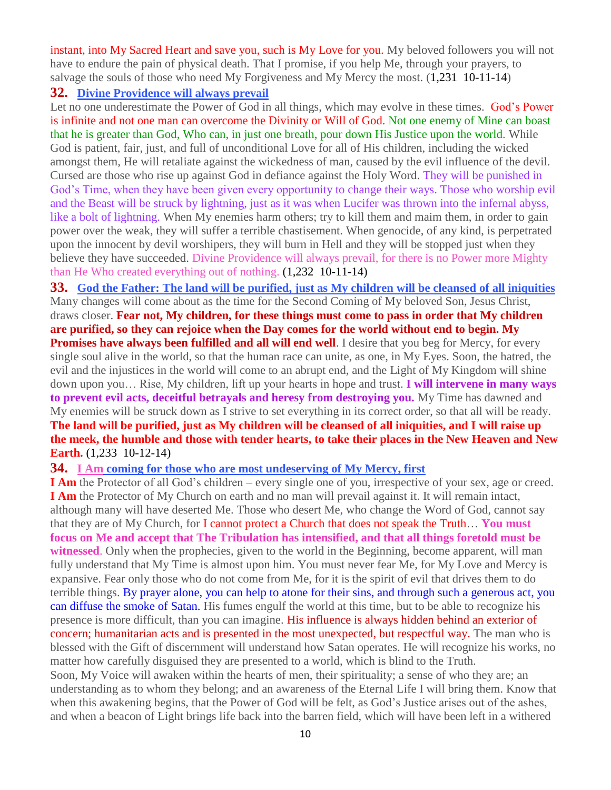instant, into My Sacred Heart and save you, such is My Love for you. My beloved followers you will not have to endure the pain of physical death. That I promise, if you help Me, through your prayers, to salvage the souls of those who need My Forgiveness and My Mercy the most. (1,231 10-11-14)

## **32. [Divine Providence will always prevail](http://www.thewarningsecondcoming.com/divine-providence-will-always-prevail/)**

Let no one underestimate the Power of God in all things, which may evolve in these times. God's Power is infinite and not one man can overcome the Divinity or Will of God. Not one enemy of Mine can boast that he is greater than God, Who can, in just one breath, pour down His Justice upon the world. While God is patient, fair, just, and full of unconditional Love for all of His children, including the wicked amongst them, He will retaliate against the wickedness of man, caused by the evil influence of the devil. Cursed are those who rise up against God in defiance against the Holy Word. They will be punished in God's Time, when they have been given every opportunity to change their ways. Those who worship evil and the Beast will be struck by lightning, just as it was when Lucifer was thrown into the infernal abyss, like a bolt of lightning. When My enemies harm others; try to kill them and maim them, in order to gain power over the weak, they will suffer a terrible chastisement. When genocide, of any kind, is perpetrated upon the innocent by devil worshipers, they will burn in Hell and they will be stopped just when they believe they have succeeded. Divine Providence will always prevail, for there is no Power more Mighty than He Who created everything out of nothing. (1,232 10-11-14)

**33. [God the Father: The land will be purified, just as My children will be cleansed of all iniquities](http://www.thewarningsecondcoming.com/god-the-father-the-land-will-be-purified-just-as-my-children-will-be-cleansed-of-all-iniquities/)** Many changes will come about as the time for the Second Coming of My beloved Son, Jesus Christ, draws closer. **Fear not, My children, for these things must come to pass in order that My children are purified, so they can rejoice when the Day comes for the world without end to begin. My Promises have always been fulfilled and all will end well**. I desire that you beg for Mercy, for every single soul alive in the world, so that the human race can unite, as one, in My Eyes. Soon, the hatred, the evil and the injustices in the world will come to an abrupt end, and the Light of My Kingdom will shine down upon you… Rise, My children, lift up your hearts in hope and trust. **I will intervene in many ways to prevent evil acts, deceitful betrayals and heresy from destroying you.** My Time has dawned and My enemies will be struck down as I strive to set everything in its correct order, so that all will be ready. **The land will be purified, just as My children will be cleansed of all iniquities, and I will raise up the meek, the humble and those with tender hearts, to take their places in the New Heaven and New Earth.** (1,233 10-12-14)

**34. I Am [coming for those who are most undeserving of](http://www.thewarningsecondcoming.com/i-am-coming-for-those-who-are-most-undeserving-of-my-mercy-first/) My Mercy, first**

**I Am** the Protector of all God's children – every single one of you, irrespective of your sex, age or creed. **I Am** the Protector of My Church on earth and no man will prevail against it. It will remain intact, although many will have deserted Me. Those who desert Me, who change the Word of God, cannot say that they are of My Church, for I cannot protect a Church that does not speak the Truth… **You must focus on Me and accept that The Tribulation has intensified, and that all things foretold must be witnessed**. Only when the prophecies, given to the world in the Beginning, become apparent, will man fully understand that My Time is almost upon him. You must never fear Me, for My Love and Mercy is expansive. Fear only those who do not come from Me, for it is the spirit of evil that drives them to do terrible things. By prayer alone, you can help to atone for their sins, and through such a generous act, you can diffuse the smoke of Satan. His fumes engulf the world at this time, but to be able to recognize his presence is more difficult, than you can imagine. His influence is always hidden behind an exterior of concern; humanitarian acts and is presented in the most unexpected, but respectful way. The man who is blessed with the Gift of discernment will understand how Satan operates. He will recognize his works, no matter how carefully disguised they are presented to a world, which is blind to the Truth. Soon, My Voice will awaken within the hearts of men, their spirituality; a sense of who they are; an understanding as to whom they belong; and an awareness of the Eternal Life I will bring them. Know that when this awakening begins, that the Power of God will be felt, as God's Justice arises out of the ashes, and when a beacon of Light brings life back into the barren field, which will have been left in a withered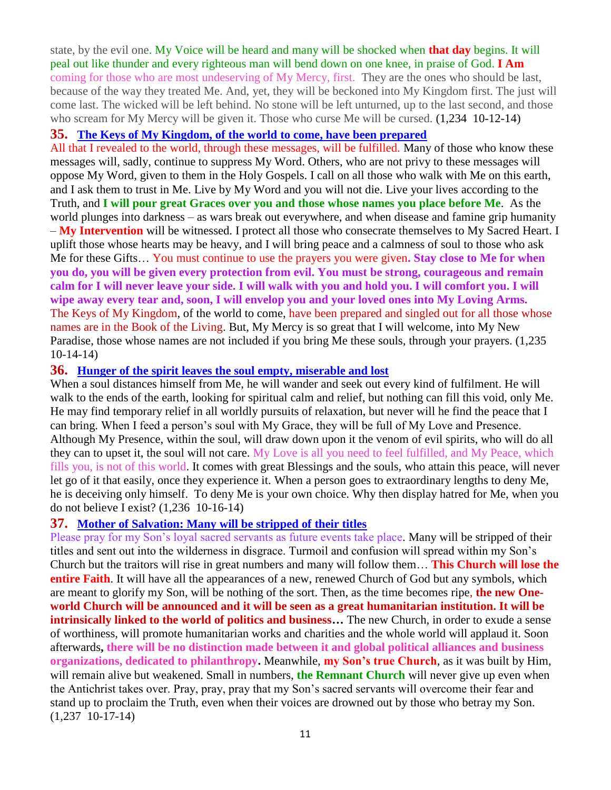state, by the evil one. My Voice will be heard and many will be shocked when **that day** begins. It will peal out like thunder and every righteous man will bend down on one knee, in praise of God. **I Am**  coming for those who are most undeserving of My Mercy, first. They are the ones who should be last, because of the way they treated Me. And, yet, they will be beckoned into My Kingdom first. The just will come last. The wicked will be left behind. No stone will be left unturned, up to the last second, and those who scream for My Mercy will be given it. Those who curse Me will be cursed.  $(1,234 \ 10-12-14)$ 

#### **35. [The Keys of My Kingdom, of the world to come, have been prepared](http://www.thewarningsecondcoming.com/the-keys-of-my-kingdom-of-the-world-to-come-have-been-prepared/)**

All that I revealed to the world, through these messages, will be fulfilled. Many of those who know these messages will, sadly, continue to suppress My Word. Others, who are not privy to these messages will oppose My Word, given to them in the Holy Gospels. I call on all those who walk with Me on this earth, and I ask them to trust in Me. Live by My Word and you will not die. Live your lives according to the Truth, and **I will pour great Graces over you and those whose names you place before Me**. As the world plunges into darkness – as wars break out everywhere, and when disease and famine grip humanity – **My Intervention** will be witnessed. I protect all those who consecrate themselves to My Sacred Heart. I uplift those whose hearts may be heavy, and I will bring peace and a calmness of soul to those who ask Me for these Gifts… You must continue to use the prayers you were given**. Stay close to Me for when you do, you will be given every protection from evil. You must be strong, courageous and remain calm for I will never leave your side. I will walk with you and hold you. I will comfort you. I will wipe away every tear and, soon, I will envelop you and your loved ones into My Loving Arms.** The Keys of My Kingdom, of the world to come, have been prepared and singled out for all those whose names are in the Book of the Living. But, My Mercy is so great that I will welcome, into My New Paradise, those whose names are not included if you bring Me these souls, through your prayers. (1,235 10-14-14)

#### **36. Hunger of the spirit [leaves the soul empty, miserable and lost](http://www.thewarningsecondcoming.com/hunger-of-the-spirit-leaves-the-soul-empty-miserable-and-lost/)**

When a soul distances himself from Me, he will wander and seek out every kind of fulfilment. He will walk to the ends of the earth, looking for spiritual calm and relief, but nothing can fill this void, only Me. He may find temporary relief in all worldly pursuits of relaxation, but never will he find the peace that I can bring. When I feed a person's soul with My Grace, they will be full of My Love and Presence. Although My Presence, within the soul, will draw down upon it the venom of evil spirits, who will do all they can to upset it, the soul will not care. My Love is all you need to feel fulfilled, and My Peace, which fills you, is not of this world. It comes with great Blessings and the souls, who attain this peace, will never let go of it that easily, once they experience it. When a person goes to extraordinary lengths to deny Me, he is deceiving only himself. To deny Me is your own choice. Why then display hatred for Me, when you do not believe I exist? (1,236 10-16-14)

#### **37. [Mother of Salvation: Many will be stripped of their titles](http://www.thewarningsecondcoming.com/mother-of-salvation-many-will-be-stripped-of-their-titles/)**

Please pray for my Son's loyal sacred servants as future events take place. Many will be stripped of their titles and sent out into the wilderness in disgrace. Turmoil and confusion will spread within my Son's Church but the traitors will rise in great numbers and many will follow them… **This Church will lose the entire Faith**. It will have all the appearances of a new, renewed Church of God but any symbols, which are meant to glorify my Son, will be nothing of the sort. Then, as the time becomes ripe, **the new Oneworld Church will be announced and it will be seen as a great humanitarian institution. It will be intrinsically linked to the world of politics and business…** The new Church, in order to exude a sense of worthiness, will promote humanitarian works and charities and the whole world will applaud it. Soon afterwards**, there will be no distinction made between it and global political alliances and business organizations, dedicated to philanthropy.** Meanwhile, **my Son's true Church**, as it was built by Him, will remain alive but weakened. Small in numbers, **the Remnant Church** will never give up even when the Antichrist takes over. Pray, pray, pray that my Son's sacred servants will overcome their fear and stand up to proclaim the Truth, even when their voices are drowned out by those who betray my Son. (1,237 10-17-14)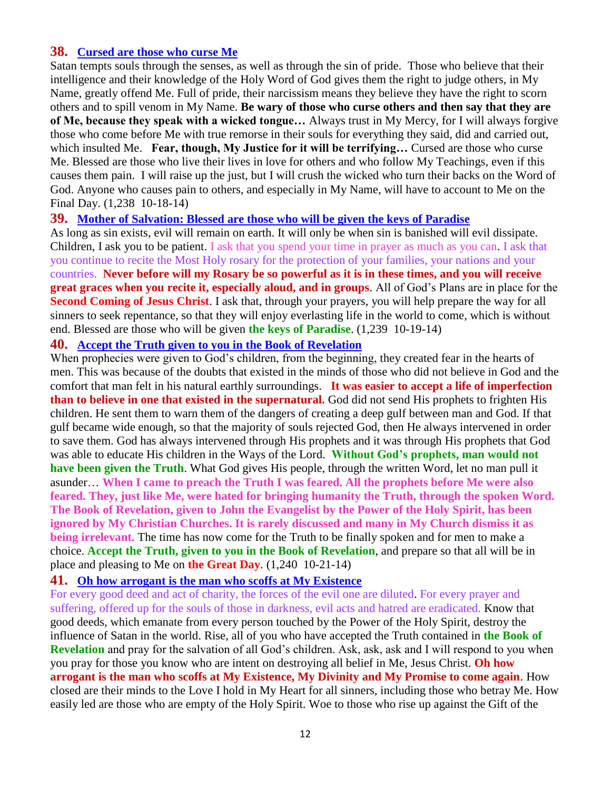## **38. [Cursed are those who curse Me](http://www.thewarningsecondcoming.com/cursed-are-those-who-curse-me/)**

Satan tempts souls through the senses, as well as through the sin of pride. Those who believe that their intelligence and their knowledge of the Holy Word of God gives them the right to judge others, in My Name, greatly offend Me. Full of pride, their narcissism means they believe they have the right to scorn others and to spill venom in My Name. **Be wary of those who curse others and then say that they are of Me, because they speak with a wicked tongue…** Always trust in My Mercy, for I will always forgive those who come before Me with true remorse in their souls for everything they said, did and carried out, which insulted Me. **Fear, though, My Justice for it will be terrifying…** Cursed are those who curse Me. Blessed are those who live their lives in love for others and who follow My Teachings, even if this causes them pain. I will raise up the just, but I will crush the wicked who turn their backs on the Word of God. Anyone who causes pain to others, and especially in My Name, will have to account to Me on the Final Day. (1,238 10-18-14)

## **39. [Mother of Salvation: Blessed are those who will be given the keys of Paradise](http://www.thewarningsecondcoming.com/mother-of-salvation-blessed-are-those-who-will-be-given-the-keys-of-paradise/)**

As long as sin exists, evil will remain on earth. It will only be when sin is banished will evil dissipate. Children, I ask you to be patient. I ask that you spend your time in prayer as much as you can. I ask that you continue to recite the Most Holy rosary for the protection of your families, your nations and your countries. **Never before will my Rosary be so powerful as it is in these times, and you will receive great graces when you recite it, especially aloud, and in groups**. All of God's Plans are in place for the **Second Coming of Jesus Christ**. I ask that, through your prayers, you will help prepare the way for all sinners to seek repentance, so that they will enjoy everlasting life in the world to come, which is without end. Blessed are those who will be given **the keys of Paradise**. (1,239 10-19-14)

## **40. [Accept the Truth given to you in the Book of Revelation](http://www.thewarningsecondcoming.com/accept-the-truth-given-to-you-in-the-book-of-revelation/)**

When prophecies were given to God's children, from the beginning, they created fear in the hearts of men. This was because of the doubts that existed in the minds of those who did not believe in God and the comfort that man felt in his natural earthly surroundings. **It was easier to accept a life of imperfection than to believe in one that existed in the supernatural.** God did not send His prophets to frighten His children. He sent them to warn them of the dangers of creating a deep gulf between man and God. If that gulf became wide enough, so that the majority of souls rejected God, then He always intervened in order to save them. God has always intervened through His prophets and it was through His prophets that God was able to educate His children in the Ways of the Lord. **Without God's prophets, man would not have been given the Truth**. What God gives His people, through the written Word, let no man pull it asunder… **When I came to preach the Truth I was feared. All the prophets before Me were also feared. They, just like Me, were hated for bringing humanity the Truth, through the spoken Word. The Book of Revelation, given to John the Evangelist by the Power of the Holy Spirit, has been ignored by My Christian Churches. It is rarely discussed and many in My Church dismiss it as being irrelevant.** The time has now come for the Truth to be finally spoken and for men to make a choice. **Accept the Truth, given to you in the Book of Revelation**, and prepare so that all will be in place and pleasing to Me on **the Great Day**. (1,240 10-21-14)

#### **41. [Oh how arrogant is the man who scoffs at My Existence](http://www.thewarningsecondcoming.com/oh-how-arrogant-is-the-man-who-scoffs-at-my-existence/)**

For every good deed and act of charity, the forces of the evil one are diluted. For every prayer and suffering, offered up for the souls of those in darkness, evil acts and hatred are eradicated. Know that good deeds, which emanate from every person touched by the Power of the Holy Spirit, destroy the influence of Satan in the world. Rise, all of you who have accepted the Truth contained in **the Book of Revelation** and pray for the salvation of all God's children. Ask, ask, ask and I will respond to you when you pray for those you know who are intent on destroying all belief in Me, Jesus Christ. **Oh how arrogant is the man who scoffs at My Existence, My Divinity and My Promise to come again**. How closed are their minds to the Love I hold in My Heart for all sinners, including those who betray Me. How easily led are those who are empty of the Holy Spirit. Woe to those who rise up against the Gift of the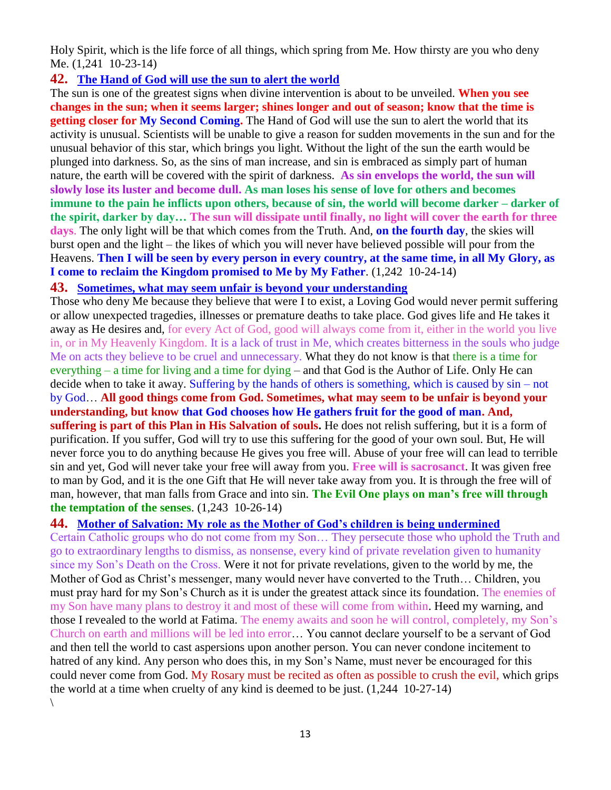Holy Spirit, which is the life force of all things, which spring from Me. How thirsty are you who deny Me. (1,241 10-23-14)

## **42. [The Hand of God will use the sun to alert the world](http://www.thewarningsecondcoming.com/the-hand-of-god-will-use-the-sun-to-alert-the-world/)**

The sun is one of the greatest signs when divine intervention is about to be unveiled. **When you see changes in the sun; when it seems larger; shines longer and out of season; know that the time is getting closer for My Second Coming.** The Hand of God will use the sun to alert the world that its activity is unusual. Scientists will be unable to give a reason for sudden movements in the sun and for the unusual behavior of this star, which brings you light. Without the light of the sun the earth would be plunged into darkness. So, as the sins of man increase, and sin is embraced as simply part of human nature, the earth will be covered with the spirit of darkness. **As sin envelops the world, the sun will slowly lose its luster and become dull. As man loses his sense of love for others and becomes immune to the pain he inflicts upon others, because of sin, the world will become darker – darker of the spirit, darker by day… The sun will dissipate until finally, no light will cover the earth for three days**. The only light will be that which comes from the Truth. And, **on the fourth day**, the skies will burst open and the light – the likes of which you will never have believed possible will pour from the Heavens. **Then I will be seen by every person in every country, at the same time, in all My Glory, as I come to reclaim the Kingdom promised to Me by My Father**. (1,242 10-24-14)

## **43. [Sometimes, what may seem unfair is beyond your understanding](http://www.thewarningsecondcoming.com/sometimes-what-may-seem-unfair-is-beyond-your-understanding/)**

Those who deny Me because they believe that were I to exist, a Loving God would never permit suffering or allow unexpected tragedies, illnesses or premature deaths to take place. God gives life and He takes it away as He desires and, for every Act of God, good will always come from it, either in the world you live in, or in My Heavenly Kingdom. It is a lack of trust in Me, which creates bitterness in the souls who judge Me on acts they believe to be cruel and unnecessary. What they do not know is that there is a time for everything – a time for living and a time for dying – and that God is the Author of Life. Only He can decide when to take it away. Suffering by the hands of others is something, which is caused by sin – not by God… **All good things come from God. Sometimes, what may seem to be unfair is beyond your understanding, but know that God chooses how He gathers fruit for the good of man. And, suffering is part of this Plan in His Salvation of souls.** He does not relish suffering, but it is a form of purification. If you suffer, God will try to use this suffering for the good of your own soul. But, He will never force you to do anything because He gives you free will. Abuse of your free will can lead to terrible sin and yet, God will never take your free will away from you. **Free will is sacrosanct**. It was given free to man by God, and it is the one Gift that He will never take away from you. It is through the free will of man, however, that man falls from Grace and into sin. **The Evil One plays on man's free will through the temptation of the senses**. (1,243 10-26-14)

## **44. Mother of Salvation: [My role as the Mother of God's children is being undermined](http://www.thewarningsecondcoming.com/mother-of-salvation-my-role-as-the-mother-of-gods-children-is-being-undermined/)**

Certain Catholic groups who do not come from my Son… They persecute those who uphold the Truth and go to extraordinary lengths to dismiss, as nonsense, every kind of private revelation given to humanity since my Son's Death on the Cross. Were it not for private revelations, given to the world by me, the Mother of God as Christ's messenger, many would never have converted to the Truth… Children, you must pray hard for my Son's Church as it is under the greatest attack since its foundation. The enemies of my Son have many plans to destroy it and most of these will come from within. Heed my warning, and those I revealed to the world at Fatima. The enemy awaits and soon he will control, completely, my Son's Church on earth and millions will be led into error… You cannot declare yourself to be a servant of God and then tell the world to cast aspersions upon another person. You can never condone incitement to hatred of any kind. Any person who does this, in my Son's Name, must never be encouraged for this could never come from God. My Rosary must be recited as often as possible to crush the evil, which grips the world at a time when cruelty of any kind is deemed to be just. (1,244 10-27-14)  $\backslash$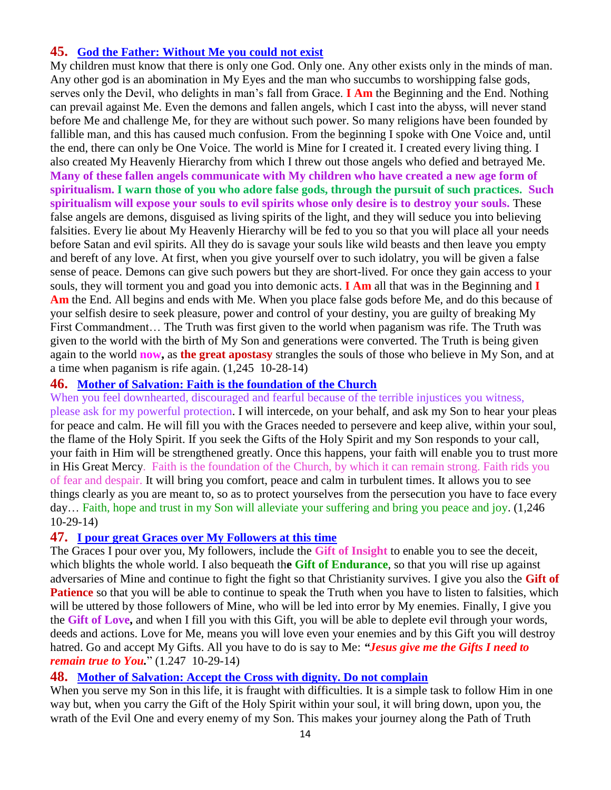## **45. [God the Father: Without Me you could not exist](http://www.thewarningsecondcoming.com/god-the-father-without-me-you-could-not-exist/)**

My children must know that there is only one God. Only one. Any other exists only in the minds of man. Any other god is an abomination in My Eyes and the man who succumbs to worshipping false gods, serves only the Devil, who delights in man's fall from Grace. **I Am** the Beginning and the End. Nothing can prevail against Me. Even the demons and fallen angels, which I cast into the abyss, will never stand before Me and challenge Me, for they are without such power. So many religions have been founded by fallible man, and this has caused much confusion. From the beginning I spoke with One Voice and, until the end, there can only be One Voice. The world is Mine for I created it. I created every living thing. I also created My Heavenly Hierarchy from which I threw out those angels who defied and betrayed Me. **Many of these fallen angels communicate with My children who have created a new age form of spiritualism. I warn those of you who adore false gods, through the pursuit of such practices. Such spiritualism will expose your souls to evil spirits whose only desire is to destroy your souls.** These false angels are demons, disguised as living spirits of the light, and they will seduce you into believing falsities. Every lie about My Heavenly Hierarchy will be fed to you so that you will place all your needs before Satan and evil spirits. All they do is savage your souls like wild beasts and then leave you empty and bereft of any love. At first, when you give yourself over to such idolatry, you will be given a false sense of peace. Demons can give such powers but they are short-lived. For once they gain access to your souls, they will torment you and goad you into demonic acts. **I Am** all that was in the Beginning and **I Am** the End. All begins and ends with Me. When you place false gods before Me, and do this because of your selfish desire to seek pleasure, power and control of your destiny, you are guilty of breaking My First Commandment… The Truth was first given to the world when paganism was rife. The Truth was given to the world with the birth of My Son and generations were converted. The Truth is being given again to the world **now,** as **the great apostasy** strangles the souls of those who believe in My Son, and at a time when paganism is rife again. (1,245 10-28-14)

## **46. [Mother of Salvation: Faith is the foundation of the Church](http://www.thewarningsecondcoming.com/mother-of-salvation-faith-is-the-foundation-of-the-church/)**

When you feel downhearted, discouraged and fearful because of the terrible injustices you witness, please ask for my powerful protection. I will intercede, on your behalf, and ask my Son to hear your pleas for peace and calm. He will fill you with the Graces needed to persevere and keep alive, within your soul, the flame of the Holy Spirit. If you seek the Gifts of the Holy Spirit and my Son responds to your call, your faith in Him will be strengthened greatly. Once this happens, your faith will enable you to trust more in His Great Mercy. Faith is the foundation of the Church, by which it can remain strong. Faith rids you of fear and despair. It will bring you comfort, peace and calm in turbulent times. It allows you to see things clearly as you are meant to, so as to protect yourselves from the persecution you have to face every day… Faith, hope and trust in my Son will alleviate your suffering and bring you peace and joy. (1,246 10-29-14)

## **47. [I pour great Graces over My Followers at this time](http://www.thewarningsecondcoming.com/i-pour-great-graces-over-my-followers-at-this-time/)**

The Graces I pour over you, My followers, include the **Gift of Insight** to enable you to see the deceit, which blights the whole world. I also bequeath th**e Gift of Endurance**, so that you will rise up against adversaries of Mine and continue to fight the fight so that Christianity survives. I give you also the **Gift of Patience** so that you will be able to continue to speak the Truth when you have to listen to falsities, which will be uttered by those followers of Mine, who will be led into error by My enemies. Finally, I give you the **Gift of Love,** and when I fill you with this Gift, you will be able to deplete evil through your words, deeds and actions. Love for Me, means you will love even your enemies and by this Gift you will destroy hatred. Go and accept My Gifts. All you have to do is say to Me: *"Jesus give me the Gifts I need to remain true to You.*" (1.247 10-29-14)

## **48. [Mother of Salvation: Accept the Cross with dignity. Do not complain](http://www.thewarningsecondcoming.com/mother-of-salvation-accept-the-cross-with-dignity-do-not-complain/)**

When you serve my Son in this life, it is fraught with difficulties. It is a simple task to follow Him in one way but, when you carry the Gift of the Holy Spirit within your soul, it will bring down, upon you, the wrath of the Evil One and every enemy of my Son. This makes your journey along the Path of Truth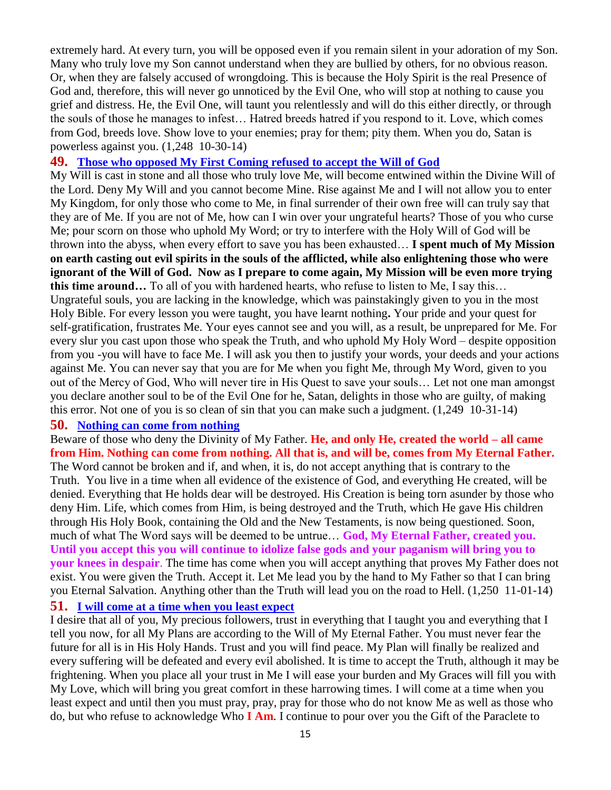extremely hard. At every turn, you will be opposed even if you remain silent in your adoration of my Son. Many who truly love my Son cannot understand when they are bullied by others, for no obvious reason. Or, when they are falsely accused of wrongdoing. This is because the Holy Spirit is the real Presence of God and, therefore, this will never go unnoticed by the Evil One, who will stop at nothing to cause you grief and distress. He, the Evil One, will taunt you relentlessly and will do this either directly, or through the souls of those he manages to infest… Hatred breeds hatred if you respond to it. Love, which comes from God, breeds love. Show love to your enemies; pray for them; pity them. When you do, Satan is powerless against you. (1,248 10-30-14)

#### **49. [Those who opposed My First Coming refused to](http://www.thewarningsecondcoming.com/those-who-opposed-my-first-coming-refused-to-accept-the-will-of-god/) accept the Will of God**

My Will is cast in stone and all those who truly love Me, will become entwined within the Divine Will of the Lord. Deny My Will and you cannot become Mine. Rise against Me and I will not allow you to enter My Kingdom, for only those who come to Me, in final surrender of their own free will can truly say that they are of Me. If you are not of Me, how can I win over your ungrateful hearts? Those of you who curse Me; pour scorn on those who uphold My Word; or try to interfere with the Holy Will of God will be thrown into the abyss, when every effort to save you has been exhausted… **I spent much of My Mission on earth casting out evil spirits in the souls of the afflicted, while also enlightening those who were ignorant of the Will of God. Now as I prepare to come again, My Mission will be even more trying this time around…** To all of you with hardened hearts, who refuse to listen to Me, I say this… Ungrateful souls, you are lacking in the knowledge, which was painstakingly given to you in the most Holy Bible. For every lesson you were taught, you have learnt nothing**.** Your pride and your quest for self-gratification, frustrates Me. Your eyes cannot see and you will, as a result, be unprepared for Me. For every slur you cast upon those who speak the Truth, and who uphold My Holy Word – despite opposition from you -you will have to face Me. I will ask you then to justify your words, your deeds and your actions against Me. You can never say that you are for Me when you fight Me, through My Word, given to you out of the Mercy of God, Who will never tire in His Quest to save your souls… Let not one man amongst you declare another soul to be of the Evil One for he, Satan, delights in those who are guilty, of making this error. Not one of you is so clean of sin that you can make such a judgment. (1,249 10-31-14)

#### **50. [Nothing can come from nothing](http://www.thewarningsecondcoming.com/nothing-can-come-from-nothing/)**

Beware of those who deny the Divinity of My Father. **He, and only He, created the world – all came from Him. Nothing can come from nothing. All that is, and will be, comes from My Eternal Father.**  The Word cannot be broken and if, and when, it is, do not accept anything that is contrary to the Truth. You live in a time when all evidence of the existence of God, and everything He created, will be denied. Everything that He holds dear will be destroyed. His Creation is being torn asunder by those who deny Him. Life, which comes from Him, is being destroyed and the Truth, which He gave His children through His Holy Book, containing the Old and the New Testaments, is now being questioned. Soon, much of what The Word says will be deemed to be untrue… **God, My Eternal Father, created you. Until you accept this you will continue to idolize false gods and your paganism will bring you to your knees in despair**. The time has come when you will accept anything that proves My Father does not exist. You were given the Truth. Accept it. Let Me lead you by the hand to My Father so that I can bring you Eternal Salvation. Anything other than the Truth will lead you on the road to Hell. (1,250 11-01-14) **51. [I will come at a time when you least expect](http://www.thewarningsecondcoming.com/i-will-come-at-a-time-when-you-least-expect/)**

I desire that all of you, My precious followers, trust in everything that I taught you and everything that I tell you now, for all My Plans are according to the Will of My Eternal Father. You must never fear the future for all is in His Holy Hands. Trust and you will find peace. My Plan will finally be realized and every suffering will be defeated and every evil abolished. It is time to accept the Truth, although it may be frightening. When you place all your trust in Me I will ease your burden and My Graces will fill you with My Love, which will bring you great comfort in these harrowing times. I will come at a time when you least expect and until then you must pray, pray, pray for those who do not know Me as well as those who do, but who refuse to acknowledge Who **I Am**. I continue to pour over you the Gift of the Paraclete to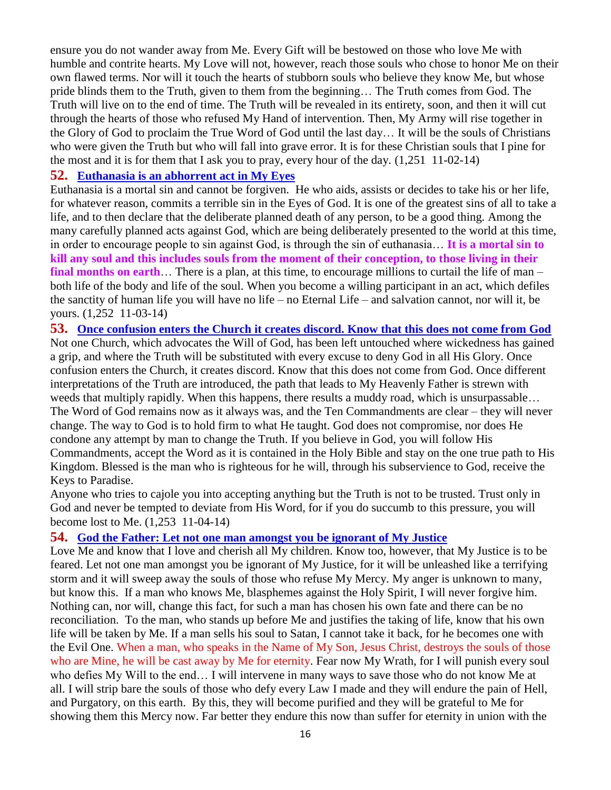ensure you do not wander away from Me. Every Gift will be bestowed on those who love Me with humble and contrite hearts. My Love will not, however, reach those souls who chose to honor Me on their own flawed terms. Nor will it touch the hearts of stubborn souls who believe they know Me, but whose pride blinds them to the Truth, given to them from the beginning… The Truth comes from God. The Truth will live on to the end of time. The Truth will be revealed in its entirety, soon, and then it will cut through the hearts of those who refused My Hand of intervention. Then, My Army will rise together in the Glory of God to proclaim the True Word of God until the last day… It will be the souls of Christians who were given the Truth but who will fall into grave error. It is for these Christian souls that I pine for the most and it is for them that I ask you to pray, every hour of the day.  $(1,251 \quad 11-02-14)$ 

#### **52. [Euthanasia is an abhorrent act in My Eyes](http://www.thewarningsecondcoming.com/euthanasia-is-an-abhorrent-act-in-my-eyes/)**

Euthanasia is a mortal sin and cannot be forgiven. He who aids, assists or decides to take his or her life, for whatever reason, commits a terrible sin in the Eyes of God. It is one of the greatest sins of all to take a life, and to then declare that the deliberate planned death of any person, to be a good thing. Among the many carefully planned acts against God, which are being deliberately presented to the world at this time, in order to encourage people to sin against God, is through the sin of euthanasia… **It is a mortal sin to kill any soul and this includes souls from the moment of their conception, to those living in their final months on earth**… There is a plan, at this time, to encourage millions to curtail the life of man – both life of the body and life of the soul. When you become a willing participant in an act, which defiles the sanctity of human life you will have no life – no Eternal Life – and salvation cannot, nor will it, be yours. (1,252 11-03-14)

**53. [Once confusion enters the Church it creates discord. Know that this does not come from God](http://www.thewarningsecondcoming.com/once-confusion-enters-the-church-it-creates-discord-know-that-this-does-not-come-from-god/)** Not one Church, which advocates the Will of God, has been left untouched where wickedness has gained a grip, and where the Truth will be substituted with every excuse to deny God in all His Glory. Once confusion enters the Church, it creates discord. Know that this does not come from God. Once different interpretations of the Truth are introduced, the path that leads to My Heavenly Father is strewn with weeds that multiply rapidly. When this happens, there results a muddy road, which is unsurpassable… The Word of God remains now as it always was, and the Ten Commandments are clear – they will never change. The way to God is to hold firm to what He taught. God does not compromise, nor does He condone any attempt by man to change the Truth. If you believe in God, you will follow His Commandments, accept the Word as it is contained in the Holy Bible and stay on the one true path to His Kingdom. Blessed is the man who is righteous for he will, through his subservience to God, receive the Keys to Paradise.

Anyone who tries to cajole you into accepting anything but the Truth is not to be trusted. Trust only in God and never be tempted to deviate from His Word, for if you do succumb to this pressure, you will become lost to Me. (1,253 11-04-14)

#### **54. [God the Father: Let not one man amongst you be ignorant of My Justice](http://www.thewarningsecondcoming.com/god-the-father-let-not-one-man-amongst-you-be-ignorant-of-my-justice/)**

Love Me and know that I love and cherish all My children. Know too, however, that My Justice is to be feared. Let not one man amongst you be ignorant of My Justice, for it will be unleashed like a terrifying storm and it will sweep away the souls of those who refuse My Mercy. My anger is unknown to many, but know this. If a man who knows Me, blasphemes against the Holy Spirit, I will never forgive him. Nothing can, nor will, change this fact, for such a man has chosen his own fate and there can be no reconciliation. To the man, who stands up before Me and justifies the taking of life, know that his own life will be taken by Me. If a man sells his soul to Satan, I cannot take it back, for he becomes one with the Evil One. When a man, who speaks in the Name of My Son, Jesus Christ, destroys the souls of those who are Mine, he will be cast away by Me for eternity. Fear now My Wrath, for I will punish every soul who defies My Will to the end… I will intervene in many ways to save those who do not know Me at all. I will strip bare the souls of those who defy every Law I made and they will endure the pain of Hell, and Purgatory, on this earth. By this, they will become purified and they will be grateful to Me for showing them this Mercy now. Far better they endure this now than suffer for eternity in union with the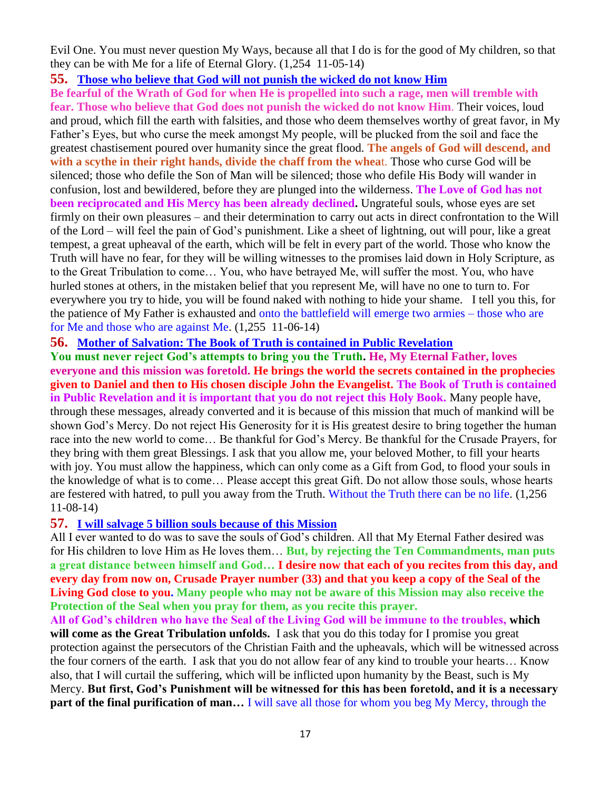Evil One. You must never question My Ways, because all that I do is for the good of My children, so that they can be with Me for a life of Eternal Glory. (1,254 11-05-14)

#### **55. [Those who believe that God will not punish the wicked do not know Him](http://www.thewarningsecondcoming.com/those-who-do-not-believe-that-god-will-not-punish-the-wicked-do-not-know-him/)**

**Be fearful of the Wrath of God for when He is propelled into such a rage, men will tremble with fear. Those who believe that God does not punish the wicked do not know Him**. Their voices, loud and proud, which fill the earth with falsities, and those who deem themselves worthy of great favor, in My Father's Eyes, but who curse the meek amongst My people, will be plucked from the soil and face the greatest chastisement poured over humanity since the great flood. **The angels of God will descend, and with a scythe in their right hands, divide the chaff from the whea**t. Those who curse God will be silenced; those who defile the Son of Man will be silenced; those who defile His Body will wander in confusion, lost and bewildered, before they are plunged into the wilderness. **The Love of God has not been reciprocated and His Mercy has been already declined.** Ungrateful souls, whose eyes are set firmly on their own pleasures – and their determination to carry out acts in direct confrontation to the Will of the Lord – will feel the pain of God's punishment. Like a sheet of lightning, out will pour, like a great tempest, a great upheaval of the earth, which will be felt in every part of the world. Those who know the Truth will have no fear, for they will be willing witnesses to the promises laid down in Holy Scripture, as to the Great Tribulation to come… You, who have betrayed Me, will suffer the most. You, who have hurled stones at others, in the mistaken belief that you represent Me, will have no one to turn to. For everywhere you try to hide, you will be found naked with nothing to hide your shame. I tell you this, for the patience of My Father is exhausted and onto the battlefield will emerge two armies – those who are for Me and those who are against Me. (1,255 11-06-14)

#### **56. [Mother of Salvation: The Book of Truth is contained in Public Revelation](http://www.thewarningsecondcoming.com/mother-of-salvation-the-book-of-truth-is-contained-in-public-revelation/)**

**You must never reject God's attempts to bring you the Truth. He, My Eternal Father, loves everyone and this mission was foretold. He brings the world the secrets contained in the prophecies given to Daniel and then to His chosen disciple John the Evangelist. The Book of Truth is contained in Public Revelation and it is important that you do not reject this Holy Book.** Many people have, through these messages, already converted and it is because of this mission that much of mankind will be shown God's Mercy. Do not reject His Generosity for it is His greatest desire to bring together the human race into the new world to come… Be thankful for God's Mercy. Be thankful for the Crusade Prayers, for they bring with them great Blessings. I ask that you allow me, your beloved Mother, to fill your hearts with joy. You must allow the happiness, which can only come as a Gift from God, to flood your souls in the knowledge of what is to come… Please accept this great Gift. Do not allow those souls, whose hearts are festered with hatred, to pull you away from the Truth. Without the Truth there can be no life. (1,256 11-08-14)

## **57. [I will salvage 5 billion souls because of this Mission](http://www.thewarningsecondcoming.com/i-will-salvage-5-billion-souls-because-of-this-mission/)**

All I ever wanted to do was to save the souls of God's children. All that My Eternal Father desired was for His children to love Him as He loves them… **But, by rejecting the Ten Commandments, man puts a great distance between himself and God… I desire now that each of you recites from this day, and every day from now on, Crusade Prayer number (33) and that you keep a copy of the Seal of the Living God close to you. Many people who may not be aware of this Mission may also receive the Protection of the Seal when you pray for them, as you recite this prayer.**

**All of God's children who have the Seal of the Living God will be immune to the troubles, which will come as the Great Tribulation unfolds.** I ask that you do this today for I promise you great protection against the persecutors of the Christian Faith and the upheavals, which will be witnessed across the four corners of the earth. I ask that you do not allow fear of any kind to trouble your hearts… Know also, that I will curtail the suffering, which will be inflicted upon humanity by the Beast, such is My Mercy. **But first, God's Punishment will be witnessed for this has been foretold, and it is a necessary part of the final purification of man...** I will save all those for whom you beg My Mercy, through the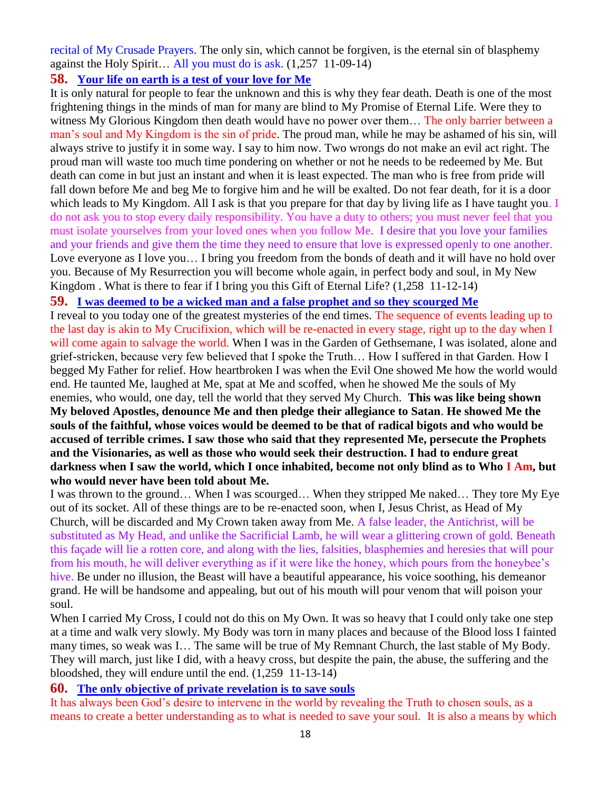recital of My Crusade Prayers. The only sin, which cannot be forgiven, is the eternal sin of blasphemy against the Holy Spirit… All you must do is ask. (1,257 11-09-14)

## **58. [Your life on earth is a test of your love for Me](http://www.thewarningsecondcoming.com/your-life-on-earth-is-a-test-of-your-love-for-me/)**

It is only natural for people to fear the unknown and this is why they fear death. Death is one of the most frightening things in the minds of man for many are blind to My Promise of Eternal Life. Were they to witness My Glorious Kingdom then death would have no power over them… The only barrier between a man's soul and My Kingdom is the sin of pride. The proud man, while he may be ashamed of his sin, will always strive to justify it in some way. I say to him now. Two wrongs do not make an evil act right. The proud man will waste too much time pondering on whether or not he needs to be redeemed by Me. But death can come in but just an instant and when it is least expected. The man who is free from pride will fall down before Me and beg Me to forgive him and he will be exalted. Do not fear death, for it is a door which leads to My Kingdom. All I ask is that you prepare for that day by living life as I have taught you. I do not ask you to stop every daily responsibility. You have a duty to others; you must never feel that you must isolate yourselves from your loved ones when you follow Me. I desire that you love your families and your friends and give them the time they need to ensure that love is expressed openly to one another. Love everyone as I love you… I bring you freedom from the bonds of death and it will have no hold over you. Because of My Resurrection you will become whole again, in perfect body and soul, in My New Kingdom . What is there to fear if I bring you this Gift of Eternal Life? (1,258 11-12-14)

## **59. [I was deemed to be a wicked man and a false prophet and so they scourged Me](http://www.thewarningsecondcoming.com/i-was-deemed-to-be-a-wicked-man-and-a-false-prophet-and-so-they-scourged-me/)**

I reveal to you today one of the greatest mysteries of the end times. The sequence of events leading up to the last day is akin to My Crucifixion, which will be re-enacted in every stage, right up to the day when I will come again to salvage the world. When I was in the Garden of Gethsemane, I was isolated, alone and grief-stricken, because very few believed that I spoke the Truth… How I suffered in that Garden. How I begged My Father for relief. How heartbroken I was when the Evil One showed Me how the world would end. He taunted Me, laughed at Me, spat at Me and scoffed, when he showed Me the souls of My enemies, who would, one day, tell the world that they served My Church. **This was like being shown My beloved Apostles, denounce Me and then pledge their allegiance to Satan**. **He showed Me the souls of the faithful, whose voices would be deemed to be that of radical bigots and who would be accused of terrible crimes. I saw those who said that they represented Me, persecute the Prophets and the Visionaries, as well as those who would seek their destruction. I had to endure great darkness when I saw the world, which I once inhabited, become not only blind as to Who I Am, but who would never have been told about Me.** 

I was thrown to the ground… When I was scourged… When they stripped Me naked… They tore My Eye out of its socket. All of these things are to be re-enacted soon, when I, Jesus Christ, as Head of My Church, will be discarded and My Crown taken away from Me. A false leader, the Antichrist, will be substituted as My Head, and unlike the Sacrificial Lamb, he will wear a glittering crown of gold. Beneath this façade will lie a rotten core, and along with the lies, falsities, blasphemies and heresies that will pour from his mouth, he will deliver everything as if it were like the honey, which pours from the honeybee's hive. Be under no illusion, the Beast will have a beautiful appearance, his voice soothing, his demeanor grand. He will be handsome and appealing, but out of his mouth will pour venom that will poison your soul.

When I carried My Cross, I could not do this on My Own. It was so heavy that I could only take one step at a time and walk very slowly. My Body was torn in many places and because of the Blood loss I fainted many times, so weak was I… The same will be true of My Remnant Church, the last stable of My Body. They will march, just like I did, with a heavy cross, but despite the pain, the abuse, the suffering and the bloodshed, they will endure until the end. (1,259 11-13-14)

## **60. The only objective of [private revelation is to save souls](http://www.thewarningsecondcoming.com/the-only-objective-of-private-revelation-is-to-save-souls/)**

It has always been God's desire to intervene in the world by revealing the Truth to chosen souls, as a means to create a better understanding as to what is needed to save your soul. It is also a means by which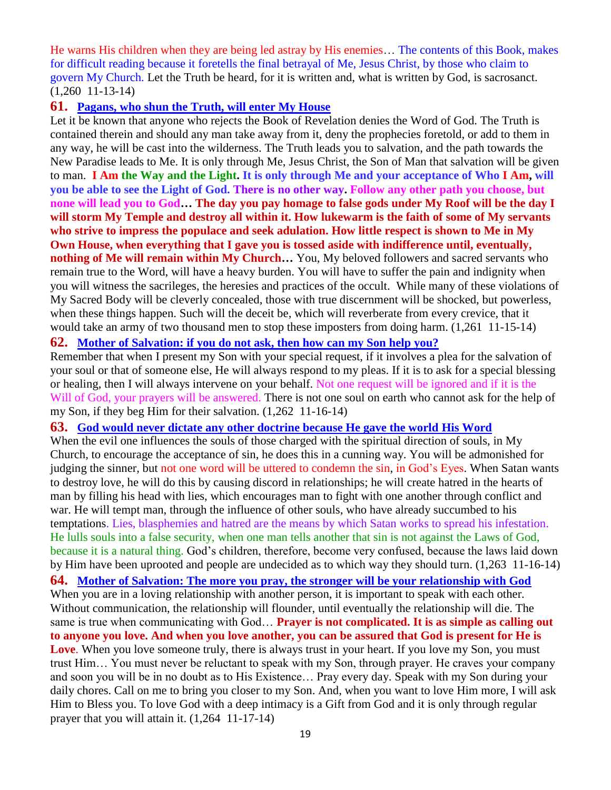He warns His children when they are being led astray by His enemies… The contents of this Book, makes for difficult reading because it foretells the final betrayal of Me, Jesus Christ, by those who claim to govern My Church. Let the Truth be heard, for it is written and, what is written by God, is sacrosanct. (1,260 11-13-14)

#### **61. [Pagans, who shun the Truth, will enter My House](http://www.thewarningsecondcoming.com/pagans-who-shun-the-truth-will-enter-my-house/)**

Let it be known that anyone who rejects the Book of Revelation denies the Word of God. The Truth is contained therein and should any man take away from it, deny the prophecies foretold, or add to them in any way, he will be cast into the wilderness. The Truth leads you to salvation, and the path towards the New Paradise leads to Me. It is only through Me, Jesus Christ, the Son of Man that salvation will be given to man. **I Am the Way and the Light. It is only through Me and your acceptance of Who I Am, will you be able to see the Light of God. There is no other way. Follow any other path you choose, but none will lead you to God… The day you pay homage to false gods under My Roof will be the day I will storm My Temple and destroy all within it. How lukewarm is the faith of some of My servants who strive to impress the populace and seek adulation. How little respect is shown to Me in My Own House, when everything that I gave you is tossed aside with indifference until, eventually, nothing of Me will remain within My Church…** You, My beloved followers and sacred servants who remain true to the Word, will have a heavy burden. You will have to suffer the pain and indignity when you will witness the sacrileges, the heresies and practices of the occult. While many of these violations of My Sacred Body will be cleverly concealed, those with true discernment will be shocked, but powerless, when these things happen. Such will the deceit be, which will reverberate from every crevice, that it would take an army of two thousand men to stop these imposters from doing harm. (1,261 11-15-14)

#### **62. [Mother of Salvation: if you do not ask, then how can my Son help you?](http://www.thewarningsecondcoming.com/mother-of-salvation-if-you-do-not-ask-then-how-can-my-son-help-you/)**

Remember that when I present my Son with your special request, if it involves a plea for the salvation of your soul or that of someone else, He will always respond to my pleas. If it is to ask for a special blessing or healing, then I will always intervene on your behalf. Not one request will be ignored and if it is the Will of God, your prayers will be answered. There is not one soul on earth who cannot ask for the help of my Son, if they beg Him for their salvation. (1,262 11-16-14)

#### **63. [God would never dictate any other doctrine because He gave the world](http://www.thewarningsecondcoming.com/god-would-never-dictate-any-other-doctrine-because-he-gave-the-world-his-word/) His Word**

When the evil one influences the souls of those charged with the spiritual direction of souls, in My Church, to encourage the acceptance of sin, he does this in a cunning way. You will be admonished for judging the sinner, but not one word will be uttered to condemn the sin, in God's Eyes. When Satan wants to destroy love, he will do this by causing discord in relationships; he will create hatred in the hearts of man by filling his head with lies, which encourages man to fight with one another through conflict and war. He will tempt man, through the influence of other souls, who have already succumbed to his temptations. Lies, blasphemies and hatred are the means by which Satan works to spread his infestation. He lulls souls into a false security, when one man tells another that sin is not against the Laws of God, because it is a natural thing. God's children, therefore, become very confused, because the laws laid down by Him have been uprooted and people are undecided as to which way they should turn. (1,263 11-16-14) **64. Mother [of Salvation: The more you pray, the stronger will be your relationship with God](http://www.thewarningsecondcoming.com/mother-of-salvation-the-more-you-pray-the-stronger-will-be-your-relationship-with-god/)** When you are in a loving relationship with another person, it is important to speak with each other. Without communication, the relationship will flounder, until eventually the relationship will die. The same is true when communicating with God… **Prayer is not complicated. It is as simple as calling out to anyone you love. And when you love another, you can be assured that God is present for He is Love**. When you love someone truly, there is always trust in your heart. If you love my Son, you must trust Him… You must never be reluctant to speak with my Son, through prayer. He craves your company and soon you will be in no doubt as to His Existence… Pray every day. Speak with my Son during your daily chores. Call on me to bring you closer to my Son. And, when you want to love Him more, I will ask Him to Bless you. To love God with a deep intimacy is a Gift from God and it is only through regular prayer that you will attain it. (1,264 11-17-14)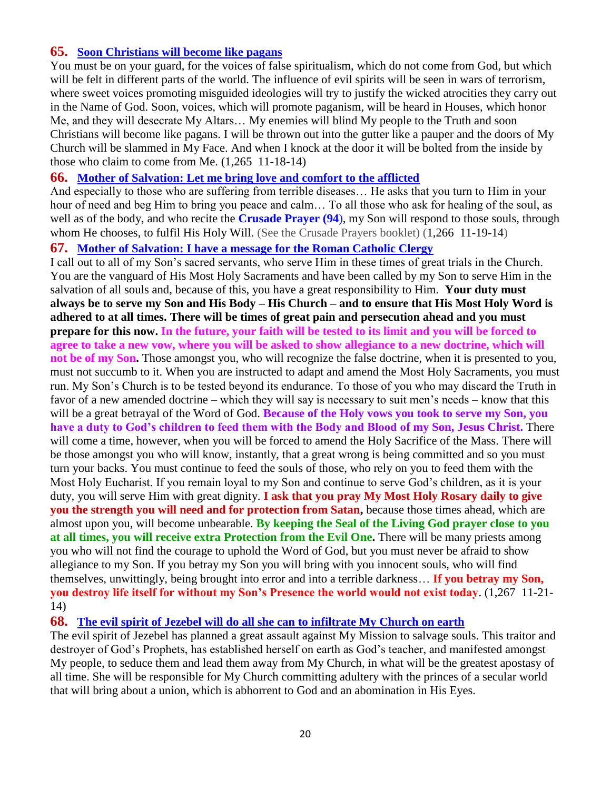## **65. [Soon Christians will become like pagans](http://www.thewarningsecondcoming.com/soon-christians-will-become-like-pagans/)**

You must be on your guard, for the voices of false spiritualism, which do not come from God, but which will be felt in different parts of the world. The influence of evil spirits will be seen in wars of terrorism, where sweet voices promoting misguided ideologies will try to justify the wicked atrocities they carry out in the Name of God. Soon, voices, which will promote paganism, will be heard in Houses, which honor Me, and they will desecrate My Altars… My enemies will blind My people to the Truth and soon Christians will become like pagans. I will be thrown out into the gutter like a pauper and the doors of My Church will be slammed in My Face. And when I knock at the door it will be bolted from the inside by those who claim to come from Me. (1,265 11-18-14)

## **66. [Mother of Salvation: Let me bring love and comfort to the afflicted](http://www.thewarningsecondcoming.com/mother-of-salvation-let-me-bring-love-and-comfort-to-the-afflicted/)**

And especially to those who are suffering from terrible diseases… He asks that you turn to Him in your hour of need and beg Him to bring you peace and calm… To all those who ask for healing of the soul, as well as of the body, and who recite the **Crusade Prayer (94**), my Son will respond to those souls, through whom He chooses, to fulfil His Holy Will. (See the Crusade Prayers booklet) (1,266 11-19-14)

#### **67. [Mother of Salvation: I have a message for the Roman Catholic Clergy](http://www.thewarningsecondcoming.com/mother-of-salvation-i-have-a-message-for-the-roman-catholic-clergy/)**

I call out to all of my Son's sacred servants, who serve Him in these times of great trials in the Church. You are the vanguard of His Most Holy Sacraments and have been called by my Son to serve Him in the salvation of all souls and, because of this, you have a great responsibility to Him. **Your duty must always be to serve my Son and His Body – His Church – and to ensure that His Most Holy Word is adhered to at all times. There will be times of great pain and persecution ahead and you must prepare for this now. In the future, your faith will be tested to its limit and you will be forced to agree to take a new vow, where you will be asked to show allegiance to a new doctrine, which will not be of my Son.** Those amongst you, who will recognize the false doctrine, when it is presented to you, must not succumb to it. When you are instructed to adapt and amend the Most Holy Sacraments, you must run. My Son's Church is to be tested beyond its endurance. To those of you who may discard the Truth in favor of a new amended doctrine – which they will say is necessary to suit men's needs – know that this will be a great betrayal of the Word of God. **Because of the Holy vows you took to serve my Son, you have a duty to God's children to feed them with the Body and Blood of my Son, Jesus Christ.** There will come a time, however, when you will be forced to amend the Holy Sacrifice of the Mass. There will be those amongst you who will know, instantly, that a great wrong is being committed and so you must turn your backs. You must continue to feed the souls of those, who rely on you to feed them with the Most Holy Eucharist. If you remain loyal to my Son and continue to serve God's children, as it is your duty, you will serve Him with great dignity. **I ask that you pray My Most Holy Rosary daily to give you the strength you will need and for protection from Satan,** because those times ahead, which are almost upon you, will become unbearable. **By keeping the Seal of the Living God prayer close to you at all times, you will receive extra Protection from the Evil One.** There will be many priests among you who will not find the courage to uphold the Word of God, but you must never be afraid to show allegiance to my Son. If you betray my Son you will bring with you innocent souls, who will find themselves, unwittingly, being brought into error and into a terrible darkness… **If you betray my Son, you destroy life itself for without my Son's Presence the world would not exist today**. (1,267 11-21- 14)

**68. [The evil spirit of Jezebel will do all she can to infiltrate My Church on earth](http://www.thewarningsecondcoming.com/the-evil-spirit-of-jezebel-will-do-all-she-can-to-infiltrate-my-church-on-earth/)**

The evil spirit of Jezebel has planned a great assault against My Mission to salvage souls. This traitor and destroyer of God's Prophets, has established herself on earth as God's teacher, and manifested amongst My people, to seduce them and lead them away from My Church, in what will be the greatest apostasy of all time. She will be responsible for My Church committing adultery with the princes of a secular world that will bring about a union, which is abhorrent to God and an abomination in His Eyes.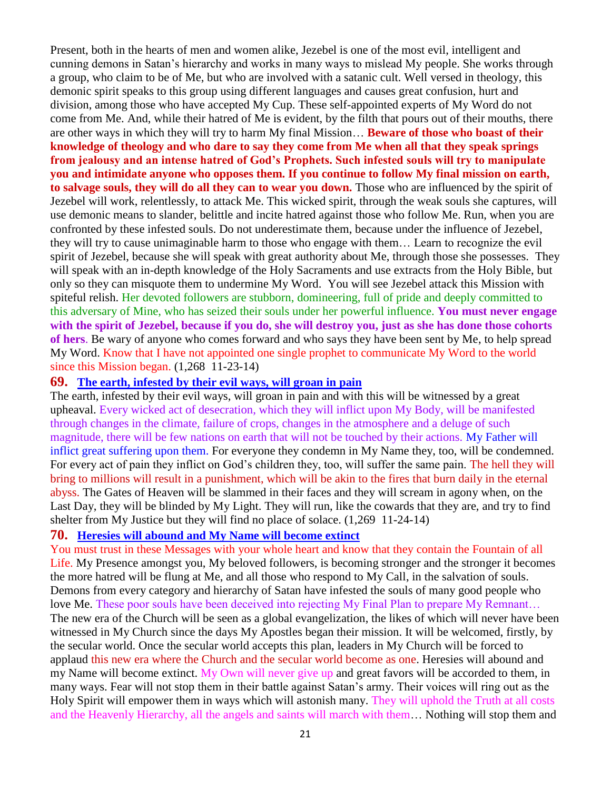Present, both in the hearts of men and women alike, Jezebel is one of the most evil, intelligent and cunning demons in Satan's hierarchy and works in many ways to mislead My people. She works through a group, who claim to be of Me, but who are involved with a satanic cult. Well versed in theology, this demonic spirit speaks to this group using different languages and causes great confusion, hurt and division, among those who have accepted My Cup. These self-appointed experts of My Word do not come from Me. And, while their hatred of Me is evident, by the filth that pours out of their mouths, there are other ways in which they will try to harm My final Mission… **Beware of those who boast of their knowledge of theology and who dare to say they come from Me when all that they speak springs from jealousy and an intense hatred of God's Prophets. Such infested souls will try to manipulate you and intimidate anyone who opposes them. If you continue to follow My final mission on earth, to salvage souls, they will do all they can to wear you down.** Those who are influenced by the spirit of Jezebel will work, relentlessly, to attack Me. This wicked spirit, through the weak souls she captures, will use demonic means to slander, belittle and incite hatred against those who follow Me. Run, when you are confronted by these infested souls. Do not underestimate them, because under the influence of Jezebel, they will try to cause unimaginable harm to those who engage with them… Learn to recognize the evil spirit of Jezebel, because she will speak with great authority about Me, through those she possesses. They will speak with an in-depth knowledge of the Holy Sacraments and use extracts from the Holy Bible, but only so they can misquote them to undermine My Word. You will see Jezebel attack this Mission with spiteful relish. Her devoted followers are stubborn, domineering, full of pride and deeply committed to this adversary of Mine, who has seized their souls under her powerful influence. **You must never engage with the spirit of Jezebel, because if you do, she will destroy you, just as she has done those cohorts of hers**. Be wary of anyone who comes forward and who says they have been sent by Me, to help spread My Word. Know that I have not appointed one single prophet to communicate My Word to the world since this Mission began. (1,268 11-23-14)

#### **69. [The earth, infested by their evil ways, will groan in pain](http://www.thewarningsecondcoming.com/the-earth-infested-by-their-evil-ways-will-groan-in-pain/)**

The earth, infested by their evil ways, will groan in pain and with this will be witnessed by a great upheaval. Every wicked act of desecration, which they will inflict upon My Body, will be manifested through changes in the climate, failure of crops, changes in the atmosphere and a deluge of such magnitude, there will be few nations on earth that will not be touched by their actions. My Father will inflict great suffering upon them. For everyone they condemn in My Name they, too, will be condemned. For every act of pain they inflict on God's children they, too, will suffer the same pain. The hell they will bring to millions will result in a punishment, which will be akin to the fires that burn daily in the eternal abyss. The Gates of Heaven will be slammed in their faces and they will scream in agony when, on the Last Day, they will be blinded by My Light. They will run, like the cowards that they are, and try to find shelter from My Justice but they will find no place of solace. (1,269 11-24-14)

### **70. [Heresies will abound and My Name will become extinct](http://www.thewarningsecondcoming.com/heresies-will-abound-and-my-name-will-become-extinct/)**

You must trust in these Messages with your whole heart and know that they contain the Fountain of all Life. My Presence amongst you, My beloved followers, is becoming stronger and the stronger it becomes the more hatred will be flung at Me, and all those who respond to My Call, in the salvation of souls. Demons from every category and hierarchy of Satan have infested the souls of many good people who love Me. These poor souls have been deceived into rejecting My Final Plan to prepare My Remnant… The new era of the Church will be seen as a global evangelization, the likes of which will never have been witnessed in My Church since the days My Apostles began their mission. It will be welcomed, firstly, by the secular world. Once the secular world accepts this plan, leaders in My Church will be forced to applaud this new era where the Church and the secular world become as one. Heresies will abound and my Name will become extinct. My Own will never give up and great favors will be accorded to them, in many ways. Fear will not stop them in their battle against Satan's army. Their voices will ring out as the Holy Spirit will empower them in ways which will astonish many. They will uphold the Truth at all costs and the Heavenly Hierarchy, all the angels and saints will march with them… Nothing will stop them and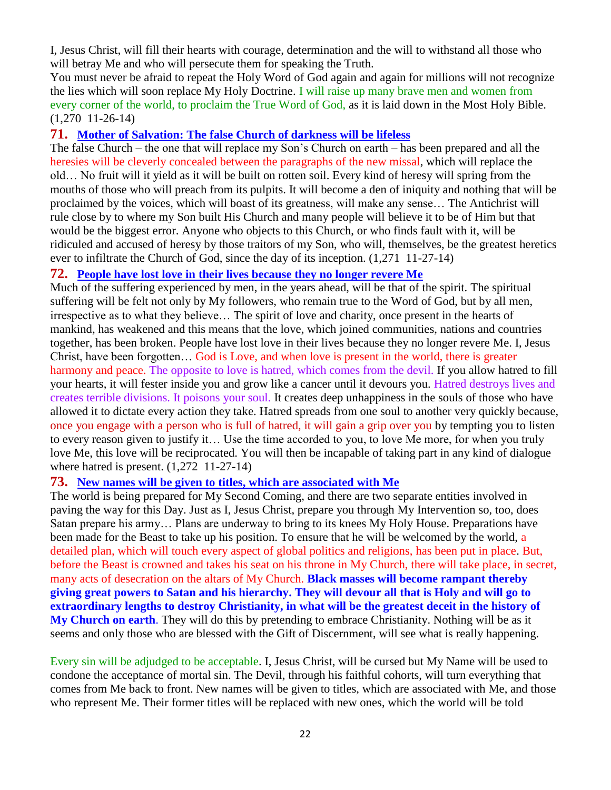I, Jesus Christ, will fill their hearts with courage, determination and the will to withstand all those who will betray Me and who will persecute them for speaking the Truth.

You must never be afraid to repeat the Holy Word of God again and again for millions will not recognize the lies which will soon replace My Holy Doctrine. I will raise up many brave men and women from every corner of the world, to proclaim the True Word of God, as it is laid down in the Most Holy Bible. (1,270 11-26-14)

## **71. [Mother of Salvation: The false Church of darkness will be lifeless](http://www.thewarningsecondcoming.com/mother-of-salvation-the-false-church-of-darkness-will-be-lifeless-2/)**

The false Church – the one that will replace my Son's Church on earth – has been prepared and all the heresies will be cleverly concealed between the paragraphs of the new missal, which will replace the old… No fruit will it yield as it will be built on rotten soil. Every kind of heresy will spring from the mouths of those who will preach from its pulpits. It will become a den of iniquity and nothing that will be proclaimed by the voices, which will boast of its greatness, will make any sense… The Antichrist will rule close by to where my Son built His Church and many people will believe it to be of Him but that would be the biggest error. Anyone who objects to this Church, or who finds fault with it, will be ridiculed and accused of heresy by those traitors of my Son, who will, themselves, be the greatest heretics ever to infiltrate the Church of God, since the day of its inception. (1,271 11-27-14)

## **72. [People have lost love in their lives because they no longer revere Me](http://www.thewarningsecondcoming.com/people-have-lost-love-in-their-lives-because-they-no-longer-revere-me/)**

Much of the suffering experienced by men, in the years ahead, will be that of the spirit. The spiritual suffering will be felt not only by My followers, who remain true to the Word of God, but by all men, irrespective as to what they believe… The spirit of love and charity, once present in the hearts of mankind, has weakened and this means that the love, which joined communities, nations and countries together, has been broken. People have lost love in their lives because they no longer revere Me. I, Jesus Christ, have been forgotten… God is Love, and when love is present in the world, there is greater harmony and peace. The opposite to love is hatred, which comes from the devil. If you allow hatred to fill your hearts, it will fester inside you and grow like a cancer until it devours you. Hatred destroys lives and creates terrible divisions. It poisons your soul. It creates deep unhappiness in the souls of those who have allowed it to dictate every action they take. Hatred spreads from one soul to another very quickly because, once you engage with a person who is full of hatred, it will gain a grip over you by tempting you to listen to every reason given to justify it… Use the time accorded to you, to love Me more, for when you truly love Me, this love will be reciprocated. You will then be incapable of taking part in any kind of dialogue where hatred is present. (1,272 11-27-14)

## **73. [New names will be given to titles, which are associated with Me](http://www.thewarningsecondcoming.com/new-names-will-be-given-to-titles-which-are-associated-with-me/)**

The world is being prepared for My Second Coming, and there are two separate entities involved in paving the way for this Day. Just as I, Jesus Christ, prepare you through My Intervention so, too, does Satan prepare his army… Plans are underway to bring to its knees My Holy House. Preparations have been made for the Beast to take up his position. To ensure that he will be welcomed by the world, a detailed plan, which will touch every aspect of global politics and religions, has been put in place. But, before the Beast is crowned and takes his seat on his throne in My Church, there will take place, in secret, many acts of desecration on the altars of My Church. **Black masses will become rampant thereby giving great powers to Satan and his hierarchy. They will devour all that is Holy and will go to extraordinary lengths to destroy Christianity, in what will be the greatest deceit in the history of My Church on earth**. They will do this by pretending to embrace Christianity. Nothing will be as it seems and only those who are blessed with the Gift of Discernment, will see what is really happening.

Every sin will be adjudged to be acceptable. I, Jesus Christ, will be cursed but My Name will be used to condone the acceptance of mortal sin. The Devil, through his faithful cohorts, will turn everything that comes from Me back to front. New names will be given to titles, which are associated with Me, and those who represent Me. Their former titles will be replaced with new ones, which the world will be told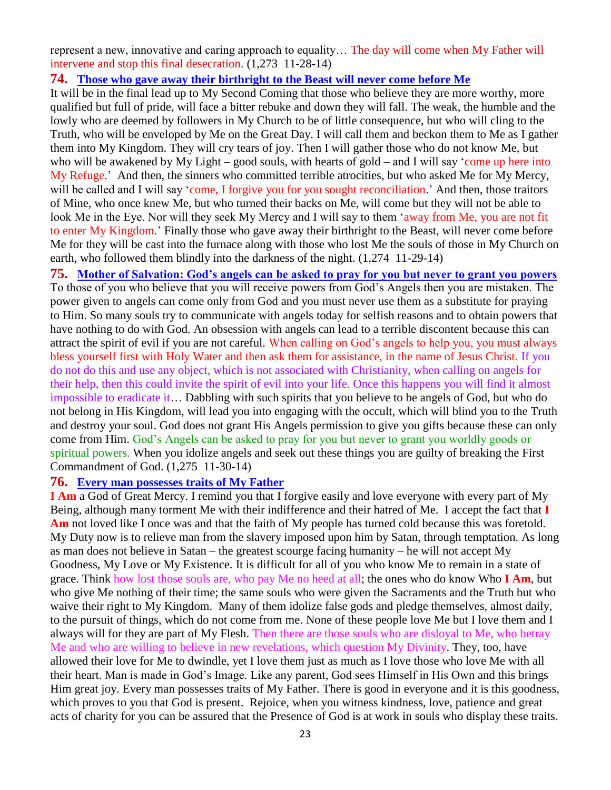represent a new, innovative and caring approach to equality… The day will come when My Father will intervene and stop this final desecration. (1,273 11-28-14)

#### **74. [Those who gave away their birthright to the Beast](http://www.thewarningsecondcoming.com/those-who-gave-away-their-birthright-to-the-beast-will-never-come-before-me/) will never come before Me**

It will be in the final lead up to My Second Coming that those who believe they are more worthy, more qualified but full of pride, will face a bitter rebuke and down they will fall. The weak, the humble and the lowly who are deemed by followers in My Church to be of little consequence, but who will cling to the Truth, who will be enveloped by Me on the Great Day. I will call them and beckon them to Me as I gather them into My Kingdom. They will cry tears of joy. Then I will gather those who do not know Me, but who will be awakened by My Light – good souls, with hearts of gold – and I will say 'come up here into My Refuge.' And then, the sinners who committed terrible atrocities, but who asked Me for My Mercy, will be called and I will say 'come, I forgive you for you sought reconciliation.' And then, those traitors of Mine, who once knew Me, but who turned their backs on Me, will come but they will not be able to look Me in the Eye. Nor will they seek My Mercy and I will say to them 'away from Me, you are not fit to enter My Kingdom.' Finally those who gave away their birthright to the Beast, will never come before Me for they will be cast into the furnace along with those who lost Me the souls of those in My Church on earth, who followed them blindly into the darkness of the night. (1,274 11-29-14)

**75. [Mother of Salvation: God's angels can be asked to pray for you but never to grant you powers](http://www.thewarningsecondcoming.com/mother-of-salvation-gods-angels-can-be-asked-to-pray-for-you-but-never-to-grant-you-powers/)** To those of you who believe that you will receive powers from God's Angels then you are mistaken. The power given to angels can come only from God and you must never use them as a substitute for praying to Him. So many souls try to communicate with angels today for selfish reasons and to obtain powers that have nothing to do with God. An obsession with angels can lead to a terrible discontent because this can attract the spirit of evil if you are not careful. When calling on God's angels to help you, you must always bless yourself first with Holy Water and then ask them for assistance, in the name of Jesus Christ. If you do not do this and use any object, which is not associated with Christianity, when calling on angels for their help, then this could invite the spirit of evil into your life. Once this happens you will find it almost impossible to eradicate it… Dabbling with such spirits that you believe to be angels of God, but who do not belong in His Kingdom, will lead you into engaging with the occult, which will blind you to the Truth and destroy your soul. God does not grant His Angels permission to give you gifts because these can only come from Him. God's Angels can be asked to pray for you but never to grant you worldly goods or spiritual powers. When you idolize angels and seek out these things you are guilty of breaking the First Commandment of God. (1,275 11-30-14)

#### **76. [Every man possesses traits of My Father](http://www.thewarningsecondcoming.com/every-man-possesses-traits-of-my-father/)**

**I Am** a God of Great Mercy. I remind you that I forgive easily and love everyone with every part of My Being, although many torment Me with their indifference and their hatred of Me. I accept the fact that **I**  Am not loved like I once was and that the faith of My people has turned cold because this was foretold. My Duty now is to relieve man from the slavery imposed upon him by Satan, through temptation. As long as man does not believe in Satan – the greatest scourge facing humanity – he will not accept My Goodness, My Love or My Existence. It is difficult for all of you who know Me to remain in a state of grace. Think how lost those souls are, who pay Me no heed at all; the ones who do know Who **I Am**, but who give Me nothing of their time; the same souls who were given the Sacraments and the Truth but who waive their right to My Kingdom. Many of them idolize false gods and pledge themselves, almost daily, to the pursuit of things, which do not come from me. None of these people love Me but I love them and I always will for they are part of My Flesh. Then there are those souls who are disloyal to Me, who betray Me and who are willing to believe in new revelations, which question My Divinity. They, too, have allowed their love for Me to dwindle, yet I love them just as much as I love those who love Me with all their heart. Man is made in God's Image. Like any parent, God sees Himself in His Own and this brings Him great joy. Every man possesses traits of My Father. There is good in everyone and it is this goodness, which proves to you that God is present. Rejoice, when you witness kindness, love, patience and great acts of charity for you can be assured that the Presence of God is at work in souls who display these traits.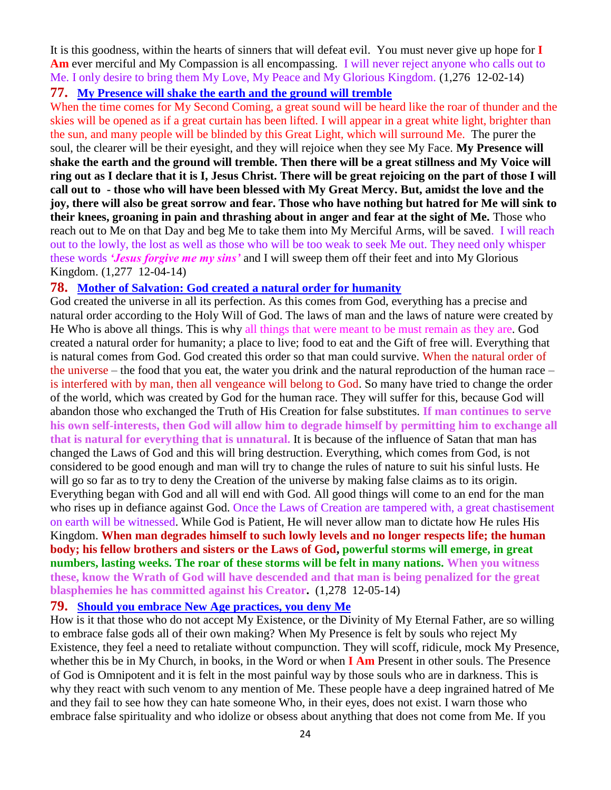It is this goodness, within the hearts of sinners that will defeat evil. You must never give up hope for **I Am** ever merciful and My Compassion is all encompassing. I will never reject anyone who calls out to Me. I only desire to bring them My Love, My Peace and My Glorious Kingdom. (1,276 12-02-14)

## **77. [My Presence will shake the earth and the ground will tremble](http://www.thewarningsecondcoming.com/my-presence-will-shake-the-earth-and-the-ground-will-tremble/)**

When the time comes for My Second Coming, a great sound will be heard like the roar of thunder and the skies will be opened as if a great curtain has been lifted. I will appear in a great white light, brighter than the sun, and many people will be blinded by this Great Light, which will surround Me. The purer the soul, the clearer will be their eyesight, and they will rejoice when they see My Face. **My Presence will shake the earth and the ground will tremble. Then there will be a great stillness and My Voice will ring out as I declare that it is I, Jesus Christ. There will be great rejoicing on the part of those I will call out to - those who will have been blessed with My Great Mercy. But, amidst the love and the joy, there will also be great sorrow and fear. Those who have nothing but hatred for Me will sink to their knees, groaning in pain and thrashing about in anger and fear at the sight of Me.** Those who reach out to Me on that Day and beg Me to take them into My Merciful Arms, will be saved. I will reach out to the lowly, the lost as well as those who will be too weak to seek Me out. They need only whisper these words *'Jesus forgive me my sins'* and I will sweep them off their feet and into My Glorious Kingdom. (1,277 12-04-14)

## **78. [Mother of Salvation: God created a natural order for humanity](http://www.thewarningsecondcoming.com/mother-of-salvation-god-created-a-natural-order-for-humanity/)**

God created the universe in all its perfection. As this comes from God, everything has a precise and natural order according to the Holy Will of God. The laws of man and the laws of nature were created by He Who is above all things. This is why all things that were meant to be must remain as they are. God created a natural order for humanity; a place to live; food to eat and the Gift of free will. Everything that is natural comes from God. God created this order so that man could survive. When the natural order of the universe – the food that you eat, the water you drink and the natural reproduction of the human race – is interfered with by man, then all vengeance will belong to God. So many have tried to change the order of the world, which was created by God for the human race. They will suffer for this, because God will abandon those who exchanged the Truth of His Creation for false substitutes. **If man continues to serve his own self-interests, then God will allow him to degrade himself by permitting him to exchange all that is natural for everything that is unnatural.** It is because of the influence of Satan that man has changed the Laws of God and this will bring destruction. Everything, which comes from God, is not considered to be good enough and man will try to change the rules of nature to suit his sinful lusts. He will go so far as to try to deny the Creation of the universe by making false claims as to its origin. Everything began with God and all will end with God. All good things will come to an end for the man who rises up in defiance against God. Once the Laws of Creation are tampered with, a great chastisement on earth will be witnessed. While God is Patient, He will never allow man to dictate how He rules His Kingdom. **When man degrades himself to such lowly levels and no longer respects life; the human body; his fellow brothers and sisters or the Laws of God, powerful storms will emerge, in great numbers, lasting weeks. The roar of these storms will be felt in many nations. When you witness these, know the Wrath of God will have descended and that man is being penalized for the great blasphemies he has committed against his Creator.** (1,278 12-05-14)

## **79. [Should you embrace New Age practices,](http://www.thewarningsecondcoming.com/should-you-embrace-new-age-practices-then-you-deny-me/) you deny Me**

How is it that those who do not accept My Existence, or the Divinity of My Eternal Father, are so willing to embrace false gods all of their own making? When My Presence is felt by souls who reject My Existence, they feel a need to retaliate without compunction. They will scoff, ridicule, mock My Presence, whether this be in My Church, in books, in the Word or when **I Am** Present in other souls. The Presence of God is Omnipotent and it is felt in the most painful way by those souls who are in darkness. This is why they react with such venom to any mention of Me. These people have a deep ingrained hatred of Me and they fail to see how they can hate someone Who, in their eyes, does not exist. I warn those who embrace false spirituality and who idolize or obsess about anything that does not come from Me. If you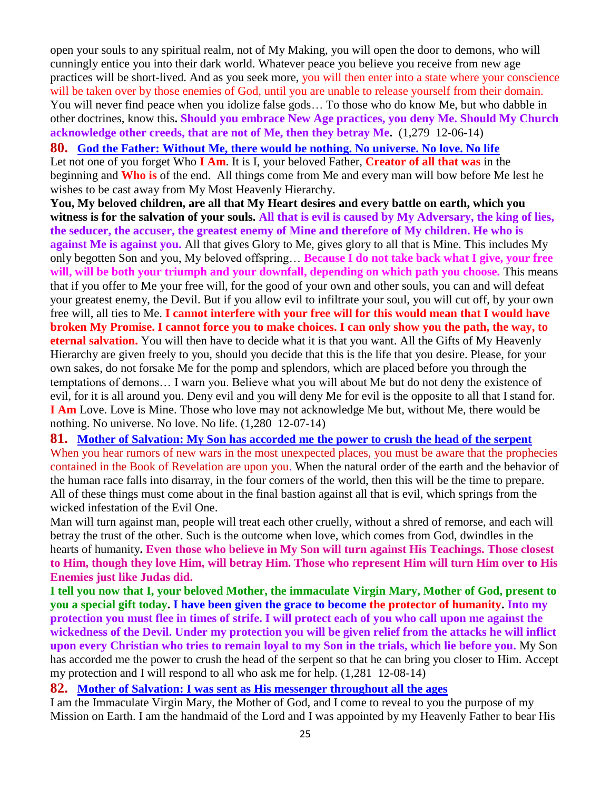open your souls to any spiritual realm, not of My Making, you will open the door to demons, who will cunningly entice you into their dark world. Whatever peace you believe you receive from new age practices will be short-lived. And as you seek more, you will then enter into a state where your conscience will be taken over by those enemies of God, until you are unable to release yourself from their domain. You will never find peace when you idolize false gods… To those who do know Me, but who dabble in other doctrines, know this**. Should you embrace New Age practices, you deny Me. Should My Church acknowledge other creeds, that are not of Me, then they betray Me.** (1,279 12-06-14)

**80. God the Father: Without Me, [there would be nothing. No universe. No love. No life](http://www.thewarningsecondcoming.com/god-the-father-without-me-there-would-be-nothing-no-universe-no-love-no-life/)** Let not one of you forget Who **I Am**. It is I, your beloved Father, **Creator of all that was** in the beginning and **Who is** of the end. All things come from Me and every man will bow before Me lest he wishes to be cast away from My Most Heavenly Hierarchy.

**You, My beloved children, are all that My Heart desires and every battle on earth, which you witness is for the salvation of your souls. All that is evil is caused by My Adversary, the king of lies, the seducer, the accuser, the greatest enemy of Mine and therefore of My children. He who is against Me is against you.** All that gives Glory to Me, gives glory to all that is Mine. This includes My only begotten Son and you, My beloved offspring… **Because I do not take back what I give, your free will, will be both your triumph and your downfall, depending on which path you choose.** This means that if you offer to Me your free will, for the good of your own and other souls, you can and will defeat your greatest enemy, the Devil. But if you allow evil to infiltrate your soul, you will cut off, by your own free will, all ties to Me. **I cannot interfere with your free will for this would mean that I would have broken My Promise. I cannot force you to make choices. I can only show you the path, the way, to eternal salvation.** You will then have to decide what it is that you want. All the Gifts of My Heavenly Hierarchy are given freely to you, should you decide that this is the life that you desire. Please, for your own sakes, do not forsake Me for the pomp and splendors, which are placed before you through the temptations of demons… I warn you. Believe what you will about Me but do not deny the existence of evil, for it is all around you. Deny evil and you will deny Me for evil is the opposite to all that I stand for. **I Am** Love. Love is Mine. Those who love may not acknowledge Me but, without Me, there would be nothing. No universe. No love. No life. (1,280 12-07-14)

**81. [Mother of Salvation: My Son has accorded me the power to crush the head of the serpent](http://www.thewarningsecondcoming.com/mother-of-salvation-my-son-has-accorded-me-the-power-to-crush-the-head-of-the-serpent/)** When you hear rumors of new wars in the most unexpected places, you must be aware that the prophecies contained in the Book of Revelation are upon you. When the natural order of the earth and the behavior of the human race falls into disarray, in the four corners of the world, then this will be the time to prepare. All of these things must come about in the final bastion against all that is evil, which springs from the wicked infestation of the Evil One.

Man will turn against man, people will treat each other cruelly, without a shred of remorse, and each will betray the trust of the other. Such is the outcome when love, which comes from God, dwindles in the hearts of humanity**. Even those who believe in My Son will turn against His Teachings. Those closest to Him, though they love Him, will betray Him. Those who represent Him will turn Him over to His Enemies just like Judas did.**

**I tell you now that I, your beloved Mother, the immaculate Virgin Mary, Mother of God, present to you a special gift today. I have been given the grace to become the protector of humanity. Into my protection you must flee in times of strife. I will protect each of you who call upon me against the wickedness of the Devil. Under my protection you will be given relief from the attacks he will inflict upon every Christian who tries to remain loyal to my Son in the trials, which lie before you.** My Son has accorded me the power to crush the head of the serpent so that he can bring you closer to Him. Accept my protection and I will respond to all who ask me for help. (1,281 12-08-14)

#### **82. [Mother of Salvation: I was sent as His messenger throughout all the ages](http://www.thewarningsecondcoming.com/mother-of-salvation-i-was-sent-as-his-messenger-throughout-all-the-ages/)**

I am the Immaculate Virgin Mary, the Mother of God, and I come to reveal to you the purpose of my Mission on Earth. I am the handmaid of the Lord and I was appointed by my Heavenly Father to bear His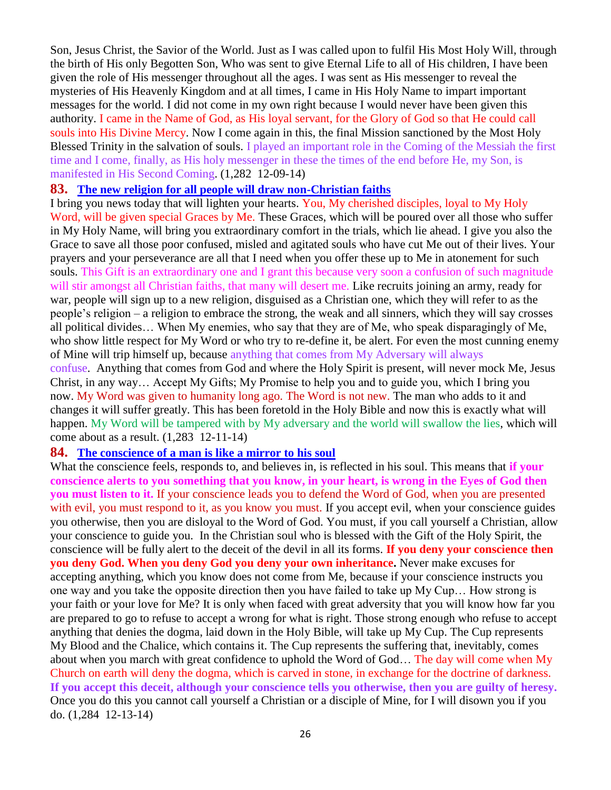Son, Jesus Christ, the Savior of the World. Just as I was called upon to fulfil His Most Holy Will, through the birth of His only Begotten Son, Who was sent to give Eternal Life to all of His children, I have been given the role of His messenger throughout all the ages. I was sent as His messenger to reveal the mysteries of His Heavenly Kingdom and at all times, I came in His Holy Name to impart important messages for the world. I did not come in my own right because I would never have been given this authority. I came in the Name of God, as His loyal servant, for the Glory of God so that He could call souls into His Divine Mercy. Now I come again in this, the final Mission sanctioned by the Most Holy Blessed Trinity in the salvation of souls. I played an important role in the Coming of the Messiah the first time and I come, finally, as His holy messenger in these the times of the end before He, my Son, is manifested in His Second Coming. (1,282 12-09-14)

#### **83. [The new religion for all people will draw non-Christian faiths](http://www.thewarningsecondcoming.com/the-new-religion-for-all-people-will-draw-non-christian-faiths/)**

I bring you news today that will lighten your hearts. You, My cherished disciples, loyal to My Holy Word, will be given special Graces by Me. These Graces, which will be poured over all those who suffer in My Holy Name, will bring you extraordinary comfort in the trials, which lie ahead. I give you also the Grace to save all those poor confused, misled and agitated souls who have cut Me out of their lives. Your prayers and your perseverance are all that I need when you offer these up to Me in atonement for such souls. This Gift is an extraordinary one and I grant this because very soon a confusion of such magnitude will stir amongst all Christian faiths, that many will desert me. Like recruits joining an army, ready for war, people will sign up to a new religion, disguised as a Christian one, which they will refer to as the people's religion – a religion to embrace the strong, the weak and all sinners, which they will say crosses all political divides… When My enemies, who say that they are of Me, who speak disparagingly of Me, who show little respect for My Word or who try to re-define it, be alert. For even the most cunning enemy of Mine will trip himself up, because anything that comes from My Adversary will always confuse. Anything that comes from God and where the Holy Spirit is present, will never mock Me, Jesus Christ, in any way… Accept My Gifts; My Promise to help you and to guide you, which I bring you now. My Word was given to humanity long ago. The Word is not new. The man who adds to it and changes it will suffer greatly. This has been foretold in the Holy Bible and now this is exactly what will happen. My Word will be tampered with by My adversary and the world will swallow the lies, which will

#### come about as a result. (1,283 12-11-14)

#### **84. [The conscience of a man is like a mirror to his soul](http://www.thewarningsecondcoming.com/the-conscience-of-a-man-is-like-a-mirror-to-his-soul/)**

What the conscience feels, responds to, and believes in, is reflected in his soul. This means that **if your conscience alerts to you something that you know, in your heart, is wrong in the Eyes of God then you must listen to it.** If your conscience leads you to defend the Word of God, when you are presented with evil, you must respond to it, as you know you must. If you accept evil, when your conscience guides you otherwise, then you are disloyal to the Word of God. You must, if you call yourself a Christian, allow your conscience to guide you. In the Christian soul who is blessed with the Gift of the Holy Spirit, the conscience will be fully alert to the deceit of the devil in all its forms. **If you deny your conscience then you deny God. When you deny God you deny your own inheritance.** Never make excuses for accepting anything, which you know does not come from Me, because if your conscience instructs you one way and you take the opposite direction then you have failed to take up My Cup… How strong is your faith or your love for Me? It is only when faced with great adversity that you will know how far you are prepared to go to refuse to accept a wrong for what is right. Those strong enough who refuse to accept anything that denies the dogma, laid down in the Holy Bible, will take up My Cup. The Cup represents My Blood and the Chalice, which contains it. The Cup represents the suffering that, inevitably, comes about when you march with great confidence to uphold the Word of God… The day will come when My Church on earth will deny the dogma, which is carved in stone, in exchange for the doctrine of darkness. **If you accept this deceit, although your conscience tells you otherwise, then you are guilty of heresy.** Once you do this you cannot call yourself a Christian or a disciple of Mine, for I will disown you if you do. (1,284 12-13-14)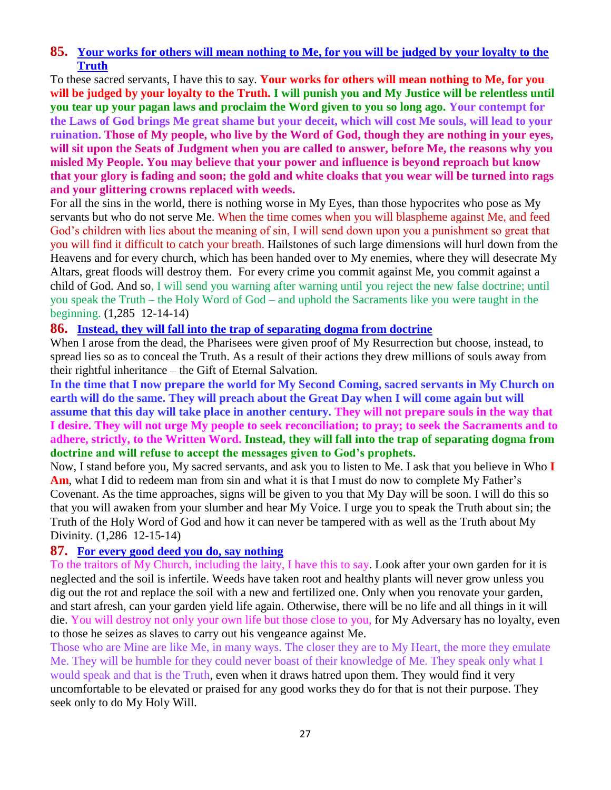## **85. [Your works for others will mean nothing to Me,](http://www.thewarningsecondcoming.com/your-works-for-others-will-mean-nothing-to-me-for-you-will-be-judged-by-your-loyalty-to-the-truth/) for you will be judged by your loyalty to the [Truth](http://www.thewarningsecondcoming.com/your-works-for-others-will-mean-nothing-to-me-for-you-will-be-judged-by-your-loyalty-to-the-truth/)**

To these sacred servants, I have this to say. **Your works for others will mean nothing to Me, for you will be judged by your loyalty to the Truth. I will punish you and My Justice will be relentless until you tear up your pagan laws and proclaim the Word given to you so long ago. Your contempt for the Laws of God brings Me great shame but your deceit, which will cost Me souls, will lead to your ruination. Those of My people, who live by the Word of God, though they are nothing in your eyes, will sit upon the Seats of Judgment when you are called to answer, before Me, the reasons why you misled My People. You may believe that your power and influence is beyond reproach but know that your glory is fading and soon; the gold and white cloaks that you wear will be turned into rags and your glittering crowns replaced with weeds.**

For all the sins in the world, there is nothing worse in My Eyes, than those hypocrites who pose as My servants but who do not serve Me. When the time comes when you will blaspheme against Me, and feed God's children with lies about the meaning of sin, I will send down upon you a punishment so great that you will find it difficult to catch your breath. Hailstones of such large dimensions will hurl down from the Heavens and for every church, which has been handed over to My enemies, where they will desecrate My Altars, great floods will destroy them. For every crime you commit against Me, you commit against a child of God. And so, I will send you warning after warning until you reject the new false doctrine; until you speak the Truth – the Holy Word of God – and uphold the Sacraments like you were taught in the beginning. (1,285 12-14-14)

## **86. [Instead, they will fall into the trap of separating dogma from doctrine](http://www.thewarningsecondcoming.com/instead-they-will-fall-into-the-trap-of-separating-dogma-from-doctrine/)**

When I arose from the dead, the Pharisees were given proof of My Resurrection but choose, instead, to spread lies so as to conceal the Truth. As a result of their actions they drew millions of souls away from their rightful inheritance – the Gift of Eternal Salvation.

**In the time that I now prepare the world for My Second Coming, sacred servants in My Church on earth will do the same. They will preach about the Great Day when I will come again but will assume that this day will take place in another century. They will not prepare souls in the way that I desire. They will not urge My people to seek reconciliation; to pray; to seek the Sacraments and to adhere, strictly, to the Written Word. Instead, they will fall into the trap of separating dogma from doctrine and will refuse to accept the messages given to God's prophets.**

Now, I stand before you, My sacred servants, and ask you to listen to Me. I ask that you believe in Who **I Am**, what I did to redeem man from sin and what it is that I must do now to complete My Father's Covenant. As the time approaches, signs will be given to you that My Day will be soon. I will do this so that you will awaken from your slumber and hear My Voice. I urge you to speak the Truth about sin; the Truth of the Holy Word of God and how it can never be tampered with as well as the Truth about My Divinity. (1,286 12-15-14)

## **87. [For every good deed you do, say nothing](http://www.thewarningsecondcoming.com/for-every-good-deed-you-do-say-nothing/)**

To the traitors of My Church, including the laity, I have this to say. Look after your own garden for it is neglected and the soil is infertile. Weeds have taken root and healthy plants will never grow unless you dig out the rot and replace the soil with a new and fertilized one. Only when you renovate your garden, and start afresh, can your garden yield life again. Otherwise, there will be no life and all things in it will die. You will destroy not only your own life but those close to you, for My Adversary has no loyalty, even to those he seizes as slaves to carry out his vengeance against Me.

Those who are Mine are like Me, in many ways. The closer they are to My Heart, the more they emulate Me. They will be humble for they could never boast of their knowledge of Me. They speak only what I would speak and that is the Truth, even when it draws hatred upon them. They would find it very uncomfortable to be elevated or praised for any good works they do for that is not their purpose. They seek only to do My Holy Will.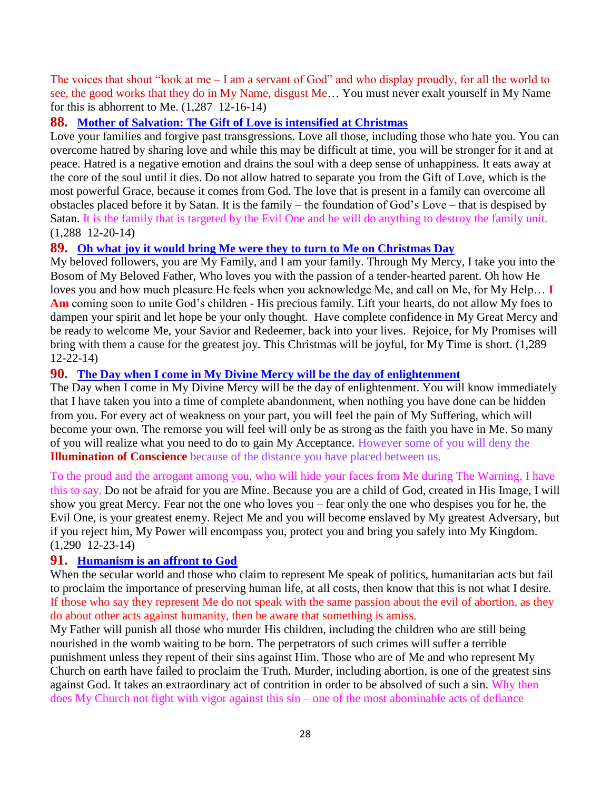The voices that shout "look at me – I am a servant of God" and who display proudly, for all the world to see, the good works that they do in My Name, disgust Me… You must never exalt yourself in My Name for this is abhorrent to Me. (1,287 12-16-14)

## **88. [Mother of Salvation: The Gift of Love is intensified at Christmas](http://www.thewarningsecondcoming.com/mother-of-salvation-the-gift-of-love-is-intensified-at-christmas/)**

Love your families and forgive past transgressions. Love all those, including those who hate you. You can overcome hatred by sharing love and while this may be difficult at time, you will be stronger for it and at peace. Hatred is a negative emotion and drains the soul with a deep sense of unhappiness. It eats away at the core of the soul until it dies. Do not allow hatred to separate you from the Gift of Love, which is the most powerful Grace, because it comes from God. The love that is present in a family can overcome all obstacles placed before it by Satan. It is the family – the foundation of God's Love – that is despised by Satan. It is the family that is targeted by the Evil One and he will do anything to destroy the family unit. (1,288 12-20-14)

## **89. [Oh what joy it would bring Me were they to turn to Me on Christmas Day](http://www.thewarningsecondcoming.com/oh-what-joy-it-would-bring-me-were-they-to-turn-to-me-on-christmas-day/)**

My beloved followers, you are My Family, and I am your family. Through My Mercy, I take you into the Bosom of My Beloved Father, Who loves you with the passion of a tender-hearted parent. Oh how He loves you and how much pleasure He feels when you acknowledge Me, and call on Me, for My Help… **I Am** coming soon to unite God's children - His precious family. Lift your hearts, do not allow My foes to dampen your spirit and let hope be your only thought. Have complete confidence in My Great Mercy and be ready to welcome Me, your Savior and Redeemer, back into your lives. Rejoice, for My Promises will bring with them a cause for the greatest joy. This Christmas will be joyful, for My Time is short. (1,289 12-22-14)

## **90. [The Day when I come in My Divine Mercy will be the day of enlightenment](http://www.thewarningsecondcoming.com/the-day-when-i-come-in-my-divine-mercy-will-be-the-day-of-enlightenment/)**

The Day when I come in My Divine Mercy will be the day of enlightenment. You will know immediately that I have taken you into a time of complete abandonment, when nothing you have done can be hidden from you. For every act of weakness on your part, you will feel the pain of My Suffering, which will become your own. The remorse you will feel will only be as strong as the faith you have in Me. So many of you will realize what you need to do to gain My Acceptance. However some of you will deny the **Illumination of Conscience** because of the distance you have placed between us.

To the proud and the arrogant among you, who will hide your faces from Me during The Warning, I have this to say. Do not be afraid for you are Mine. Because you are a child of God, created in His Image, I will show you great Mercy. Fear not the one who loves you – fear only the one who despises you for he, the Evil One, is your greatest enemy. Reject Me and you will become enslaved by My greatest Adversary, but if you reject him, My Power will encompass you, protect you and bring you safely into My Kingdom. (1,290 12-23-14)

## **91. [Humanism is an affront to God](http://www.thewarningsecondcoming.com/humanism-is-an-affront-to-god/)**

When the secular world and those who claim to represent Me speak of politics, humanitarian acts but fail to proclaim the importance of preserving human life, at all costs, then know that this is not what I desire. If those who say they represent Me do not speak with the same passion about the evil of abortion, as they do about other acts against humanity, then be aware that something is amiss.

My Father will punish all those who murder His children, including the children who are still being nourished in the womb waiting to be born. The perpetrators of such crimes will suffer a terrible punishment unless they repent of their sins against Him. Those who are of Me and who represent My Church on earth have failed to proclaim the Truth. Murder, including abortion, is one of the greatest sins against God. It takes an extraordinary act of contrition in order to be absolved of such a sin. Why then does My Church not fight with vigor against this sin – one of the most abominable acts of defiance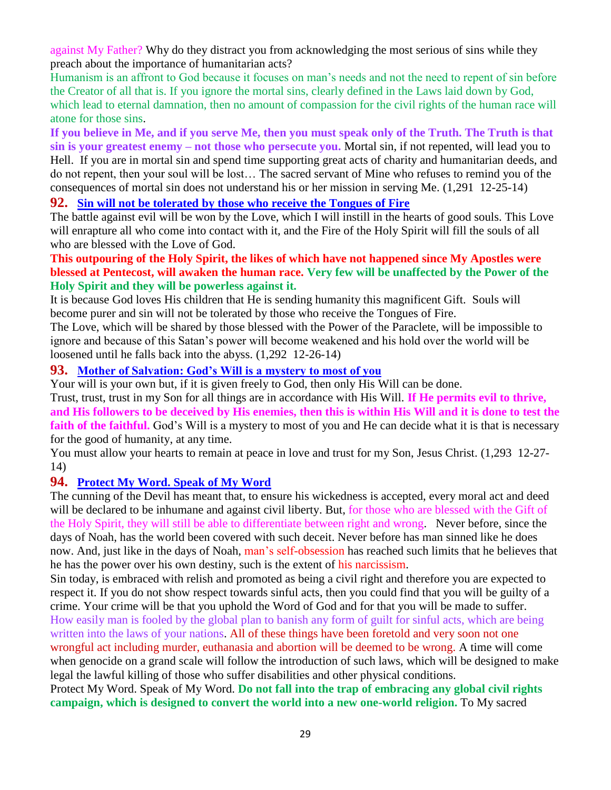against My Father? Why do they distract you from acknowledging the most serious of sins while they preach about the importance of humanitarian acts?

Humanism is an affront to God because it focuses on man's needs and not the need to repent of sin before the Creator of all that is. If you ignore the mortal sins, clearly defined in the Laws laid down by God, which lead to eternal damnation, then no amount of compassion for the civil rights of the human race will atone for those sins.

**If you believe in Me, and if you serve Me, then you must speak only of the Truth. The Truth is that sin is your greatest enemy – not those who persecute you.** Mortal sin, if not repented, will lead you to Hell. If you are in mortal sin and spend time supporting great acts of charity and humanitarian deeds, and do not repent, then your soul will be lost… The sacred servant of Mine who refuses to remind you of the consequences of mortal sin does not understand his or her mission in serving Me. (1,291 12-25-14)

## **92. [Sin will not be tolerated by those who receive the Tongues of Fire](http://www.thewarningsecondcoming.com/sin-will-not-be-tolerated-by-those-who-receive-the-tongues-of-fire/)**

The battle against evil will be won by the Love, which I will instill in the hearts of good souls. This Love will enrapture all who come into contact with it, and the Fire of the Holy Spirit will fill the souls of all who are blessed with the Love of God.

## **This outpouring of the Holy Spirit, the likes of which have not happened since My Apostles were blessed at Pentecost, will awaken the human race. Very few will be unaffected by the Power of the Holy Spirit and they will be powerless against it.**

It is because God loves His children that He is sending humanity this magnificent Gift. Souls will become purer and sin will not be tolerated by those who receive the Tongues of Fire.

The Love, which will be shared by those blessed with the Power of the Paraclete, will be impossible to ignore and because of this Satan's power will become weakened and his hold over the world will be loosened until he falls back into the abyss. (1,292 12-26-14)

## **93. [Mother of Salvation: God's Will is a mystery to most of you](http://www.thewarningsecondcoming.com/mother-of-salvation-gods-will-is-a-mystery-to-most-of-you/)**

Your will is your own but, if it is given freely to God, then only His Will can be done.

Trust, trust, trust in my Son for all things are in accordance with His Will. **If He permits evil to thrive, and His followers to be deceived by His enemies, then this is within His Will and it is done to test the**  faith of the faithful. God's Will is a mystery to most of you and He can decide what it is that is necessary for the good of humanity, at any time.

You must allow your hearts to remain at peace in love and trust for my Son, Jesus Christ. (1,293 12-27- 14)

## **94. [Protect My Word. Speak of My Word](http://www.thewarningsecondcoming.com/protect-my-word-speak-of-my-word/)**

The cunning of the Devil has meant that, to ensure his wickedness is accepted, every moral act and deed will be declared to be inhumane and against civil liberty. But, for those who are blessed with the Gift of the Holy Spirit, they will still be able to differentiate between right and wrong. Never before, since the days of Noah, has the world been covered with such deceit. Never before has man sinned like he does now. And, just like in the days of Noah, man's self-obsession has reached such limits that he believes that he has the power over his own destiny, such is the extent of his narcissism.

Sin today, is embraced with relish and promoted as being a civil right and therefore you are expected to respect it. If you do not show respect towards sinful acts, then you could find that you will be guilty of a crime. Your crime will be that you uphold the Word of God and for that you will be made to suffer. How easily man is fooled by the global plan to banish any form of guilt for sinful acts, which are being written into the laws of your nations. All of these things have been foretold and very soon not one wrongful act including murder, euthanasia and abortion will be deemed to be wrong. A time will come when genocide on a grand scale will follow the introduction of such laws, which will be designed to make legal the lawful killing of those who suffer disabilities and other physical conditions.

Protect My Word. Speak of My Word. **Do not fall into the trap of embracing any global civil rights campaign, which is designed to convert the world into a new one-world religion.** To My sacred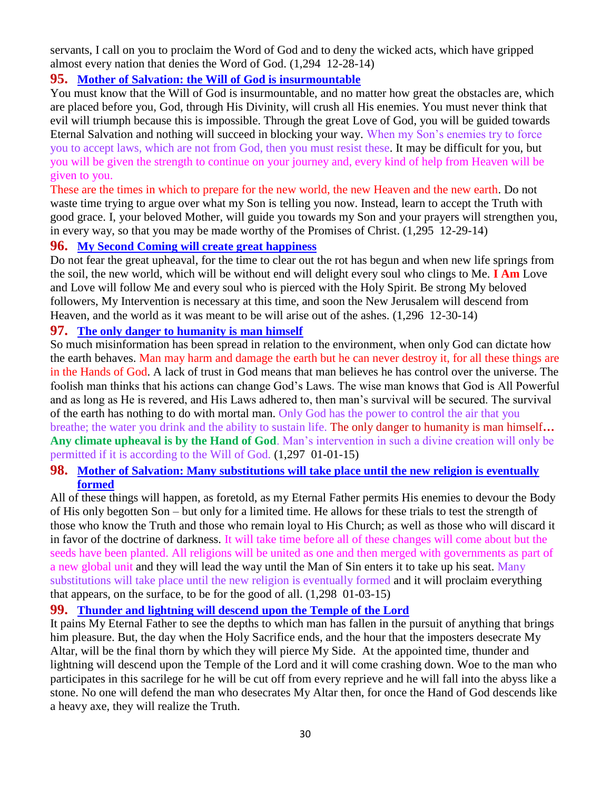servants, I call on you to proclaim the Word of God and to deny the wicked acts, which have gripped almost every nation that denies the Word of God. (1,294 12-28-14)

## **95. [Mother of Salvation: the Will of God is insurmountable](http://www.thewarningsecondcoming.com/mother-of-salvation-the-will-of-god-is-insurmountable/)**

You must know that the Will of God is insurmountable, and no matter how great the obstacles are, which are placed before you, God, through His Divinity, will crush all His enemies. You must never think that evil will triumph because this is impossible. Through the great Love of God, you will be guided towards Eternal Salvation and nothing will succeed in blocking your way. When my Son's enemies try to force you to accept laws, which are not from God, then you must resist these. It may be difficult for you, but you will be given the strength to continue on your journey and, every kind of help from Heaven will be given to you.

These are the times in which to prepare for the new world, the new Heaven and the new earth. Do not waste time trying to argue over what my Son is telling you now. Instead, learn to accept the Truth with good grace. I, your beloved Mother, will guide you towards my Son and your prayers will strengthen you, in every way, so that you may be made worthy of the Promises of Christ. (1,295 12-29-14)

## **96. [My Second Coming will create great happiness](http://www.thewarningsecondcoming.com/my-second-coming-will-create-great-happiness/)**

Do not fear the great upheaval, for the time to clear out the rot has begun and when new life springs from the soil, the new world, which will be without end will delight every soul who clings to Me. **I Am** Love and Love will follow Me and every soul who is pierced with the Holy Spirit. Be strong My beloved followers, My Intervention is necessary at this time, and soon the New Jerusalem will descend from Heaven, and the world as it was meant to be will arise out of the ashes. (1,296 12-30-14)

## **97. [The only danger to humanity is man himself](http://www.thewarningsecondcoming.com/the-only-danger-to-humanity-is-man-himself/)**

So much misinformation has been spread in relation to the environment, when only God can dictate how the earth behaves. Man may harm and damage the earth but he can never destroy it, for all these things are in the Hands of God. A lack of trust in God means that man believes he has control over the universe. The foolish man thinks that his actions can change God's Laws. The wise man knows that God is All Powerful and as long as He is revered, and His Laws adhered to, then man's survival will be secured. The survival of the earth has nothing to do with mortal man. Only God has the power to control the air that you breathe; the water you drink and the ability to sustain life. The only danger to humanity is man himself**… Any climate upheaval is by the Hand of God**. Man's intervention in such a divine creation will only be permitted if it is according to the Will of God. (1,297 01-01-15)

## **98. Mother of Salvation: Many substitutions will take place until the new religion is eventually formed**

All of these things will happen, as foretold, as my Eternal Father permits His enemies to devour the Body of His only begotten Son – but only for a limited time. He allows for these trials to test the strength of those who know the Truth and those who remain loyal to His Church; as well as those who will discard it in favor of the doctrine of darkness. It will take time before all of these changes will come about but the seeds have been planted. All religions will be united as one and then merged with governments as part of a new global unit and they will lead the way until the Man of Sin enters it to take up his seat. Many substitutions will take place until the new religion is eventually formed and it will proclaim everything that appears, on the surface, to be for the good of all. (1,298 01-03-15)

#### **99. [Thunder and lightning will descend upon the Temple of the Lord](http://www.thewarningsecondcoming.com/thunder-and-lightning-will-descend-upon-the-temple-of-the-lord/)**

It pains My Eternal Father to see the depths to which man has fallen in the pursuit of anything that brings him pleasure. But, the day when the Holy Sacrifice ends, and the hour that the imposters desecrate My Altar, will be the final thorn by which they will pierce My Side. At the appointed time, thunder and lightning will descend upon the Temple of the Lord and it will come crashing down. Woe to the man who participates in this sacrilege for he will be cut off from every reprieve and he will fall into the abyss like a stone. No one will defend the man who desecrates My Altar then, for once the Hand of God descends like a heavy axe, they will realize the Truth.